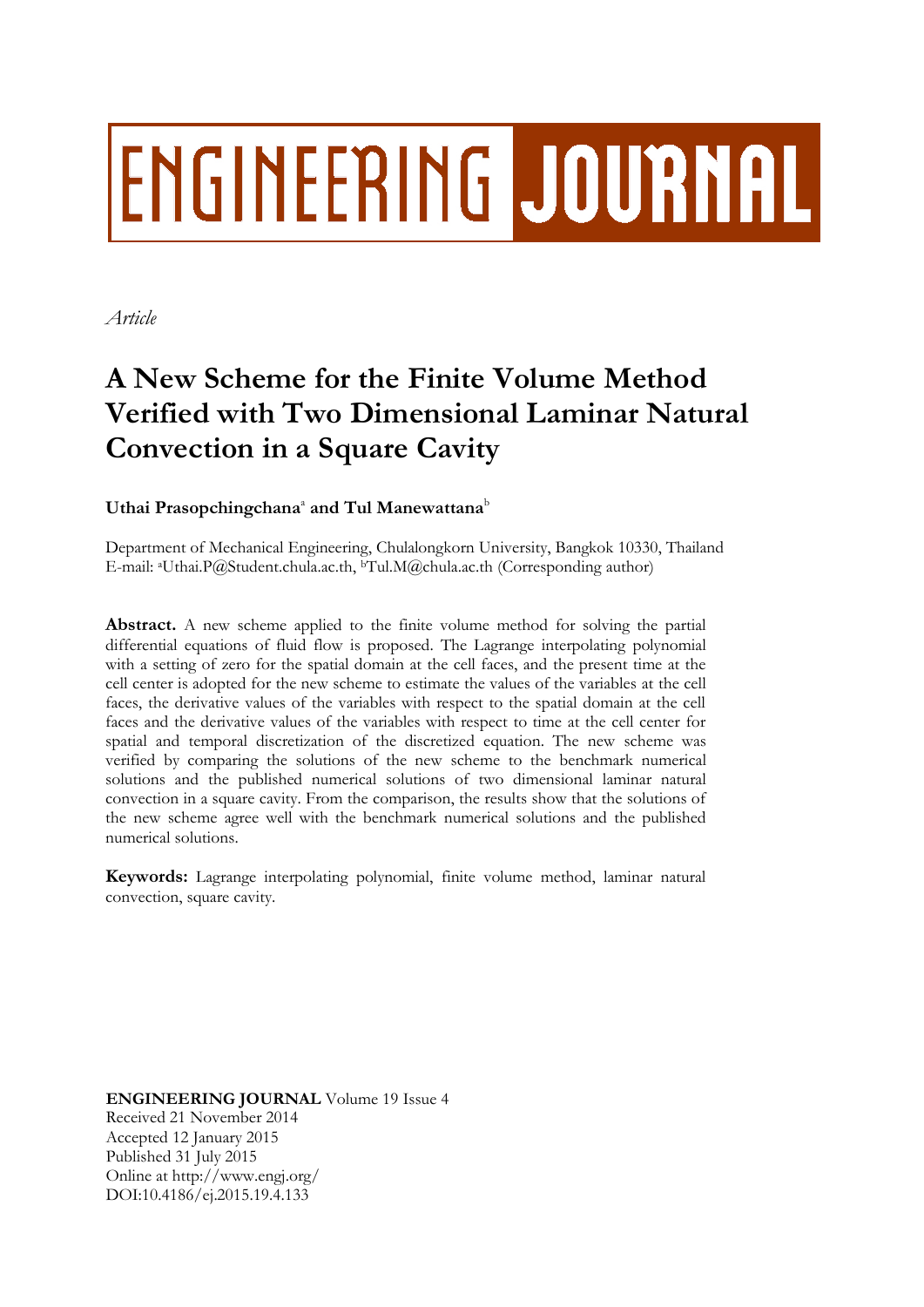# **ENGINEERING JOURNAL**

*Article*

# **A New Scheme for the Finite Volume Method Verified with Two Dimensional Laminar Natural Convection in a Square Cavity**

# $\bf{U}$ thai  $\bf{Prasophingchana}^a$  and  $\bf{Tul}~\bf{Manewattana}^b$

Department of Mechanical Engineering, Chulalongkorn University, Bangkok 10330, Thailand E-mail: aUthai.P@Student.chula.ac.th, <sup>b</sup>Tul.M@chula.ac.th (Corresponding author)

**Abstract.** A new scheme applied to the finite volume method for solving the partial differential equations of fluid flow is proposed. The Lagrange interpolating polynomial with a setting of zero for the spatial domain at the cell faces, and the present time at the cell center is adopted for the new scheme to estimate the values of the variables at the cell faces, the derivative values of the variables with respect to the spatial domain at the cell faces and the derivative values of the variables with respect to time at the cell center for spatial and temporal discretization of the discretized equation. The new scheme was verified by comparing the solutions of the new scheme to the benchmark numerical solutions and the published numerical solutions of two dimensional laminar natural convection in a square cavity. From the comparison, the results show that the solutions of the new scheme agree well with the benchmark numerical solutions and the published numerical solutions.

**Keywords:** Lagrange interpolating polynomial, finite volume method, laminar natural convection, square cavity.

**ENGINEERING JOURNAL** Volume 19 Issue 4 Received 21 November 2014 Accepted 12 January 2015 Published 31 July 2015 Online at http://www.engj.org/ DOI:10.4186/ej.2015.19.4.133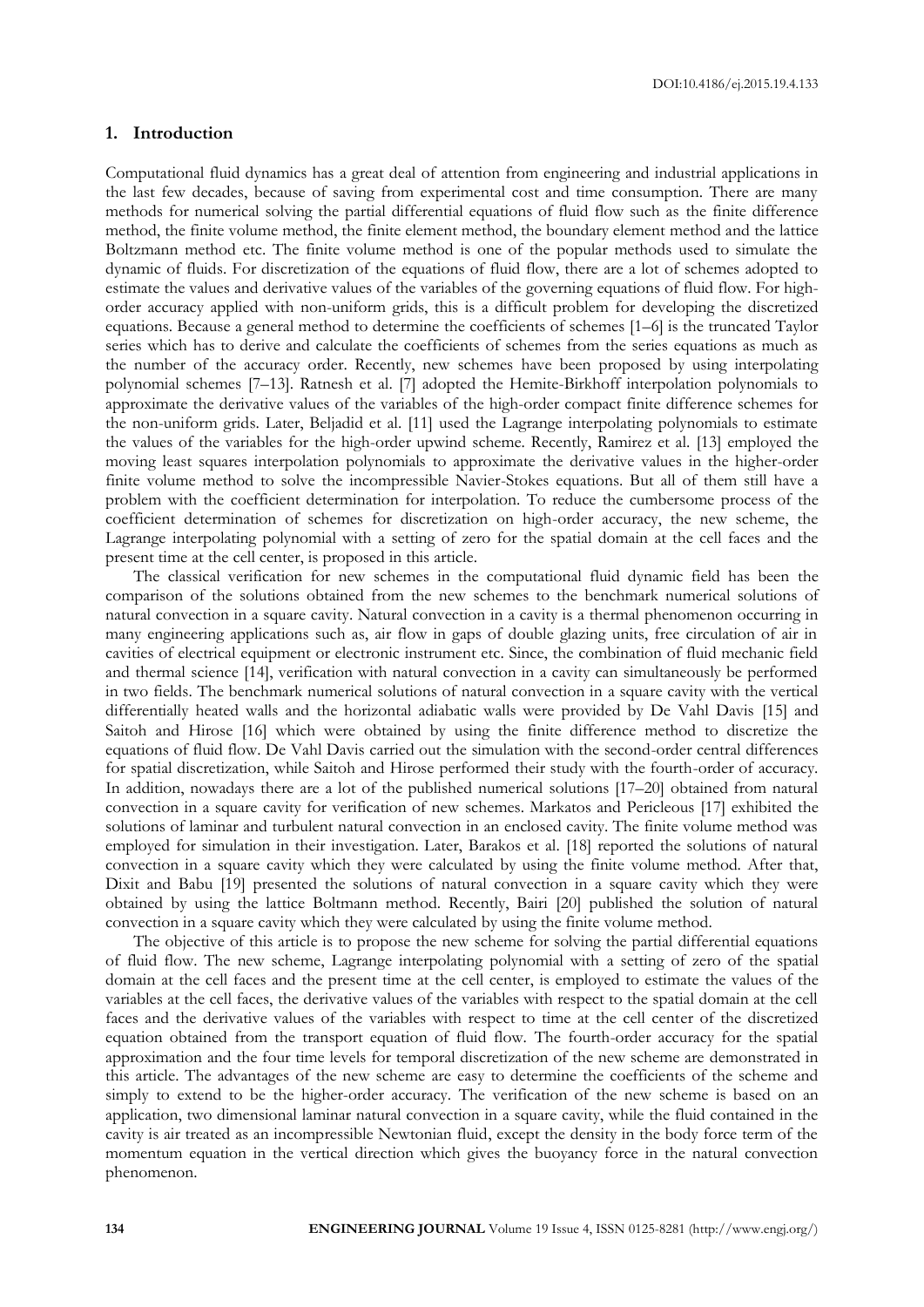#### **1. Introduction**

Computational fluid dynamics has a great deal of attention from engineering and industrial applications in the last few decades, because of saving from experimental cost and time consumption. There are many methods for numerical solving the partial differential equations of fluid flow such as the finite difference method, the finite volume method, the finite element method, the boundary element method and the lattice Boltzmann method etc. The finite volume method is one of the popular methods used to simulate the dynamic of fluids. For discretization of the equations of fluid flow, there are a lot of schemes adopted to estimate the values and derivative values of the variables of the governing equations of fluid flow. For highorder accuracy applied with non-uniform grids, this is a difficult problem for developing the discretized equations. Because a general method to determine the coefficients of schemes [1–6] is the truncated Taylor series which has to derive and calculate the coefficients of schemes from the series equations as much as the number of the accuracy order. Recently, new schemes have been proposed by using interpolating polynomial schemes [7–13]. Ratnesh et al. [7] adopted the Hemite-Birkhoff interpolation polynomials to approximate the derivative values of the variables of the high-order compact finite difference schemes for the non-uniform grids. Later, Beljadid et al. [11] used the Lagrange interpolating polynomials to estimate the values of the variables for the high-order upwind scheme. Recently, Ramirez et al. [13] employed the moving least squares interpolation polynomials to approximate the derivative values in the higher-order finite volume method to solve the incompressible Navier-Stokes equations. But all of them still have a problem with the coefficient determination for interpolation. To reduce the cumbersome process of the coefficient determination of schemes for discretization on high-order accuracy, the new scheme, the Lagrange interpolating polynomial with a setting of zero for the spatial domain at the cell faces and the present time at the cell center, is proposed in this article.

The classical verification for new schemes in the computational fluid dynamic field has been the comparison of the solutions obtained from the new schemes to the benchmark numerical solutions of natural convection in a square cavity. Natural convection in a cavity is a thermal phenomenon occurring in many engineering applications such as, air flow in gaps of double glazing units, free circulation of air in cavities of electrical equipment or electronic instrument etc. Since, the combination of fluid mechanic field and thermal science [14], verification with natural convection in a cavity can simultaneously be performed in two fields. The benchmark numerical solutions of natural convection in a square cavity with the vertical differentially heated walls and the horizontal adiabatic walls were provided by De Vahl Davis [15] and Saitoh and Hirose [16] which were obtained by using the finite difference method to discretize the equations of fluid flow. De Vahl Davis carried out the simulation with the second-order central differences for spatial discretization, while Saitoh and Hirose performed their study with the fourth-order of accuracy. In addition, nowadays there are a lot of the published numerical solutions [17–20] obtained from natural convection in a square cavity for verification of new schemes. Markatos and Pericleous [17] exhibited the solutions of laminar and turbulent natural convection in an enclosed cavity. The finite volume method was employed for simulation in their investigation. Later, Barakos et al. [18] reported the solutions of natural convection in a square cavity which they were calculated by using the finite volume method. After that, Dixit and Babu [19] presented the solutions of natural convection in a square cavity which they were obtained by using the lattice Boltmann method. Recently, Bairi [20] published the solution of natural convection in a square cavity which they were calculated by using the finite volume method.

The objective of this article is to propose the new scheme for solving the partial differential equations of fluid flow. The new scheme, Lagrange interpolating polynomial with a setting of zero of the spatial domain at the cell faces and the present time at the cell center, is employed to estimate the values of the variables at the cell faces, the derivative values of the variables with respect to the spatial domain at the cell faces and the derivative values of the variables with respect to time at the cell center of the discretized equation obtained from the transport equation of fluid flow. The fourth-order accuracy for the spatial approximation and the four time levels for temporal discretization of the new scheme are demonstrated in this article. The advantages of the new scheme are easy to determine the coefficients of the scheme and simply to extend to be the higher-order accuracy. The verification of the new scheme is based on an application, two dimensional laminar natural convection in a square cavity, while the fluid contained in the cavity is air treated as an incompressible Newtonian fluid, except the density in the body force term of the momentum equation in the vertical direction which gives the buoyancy force in the natural convection phenomenon.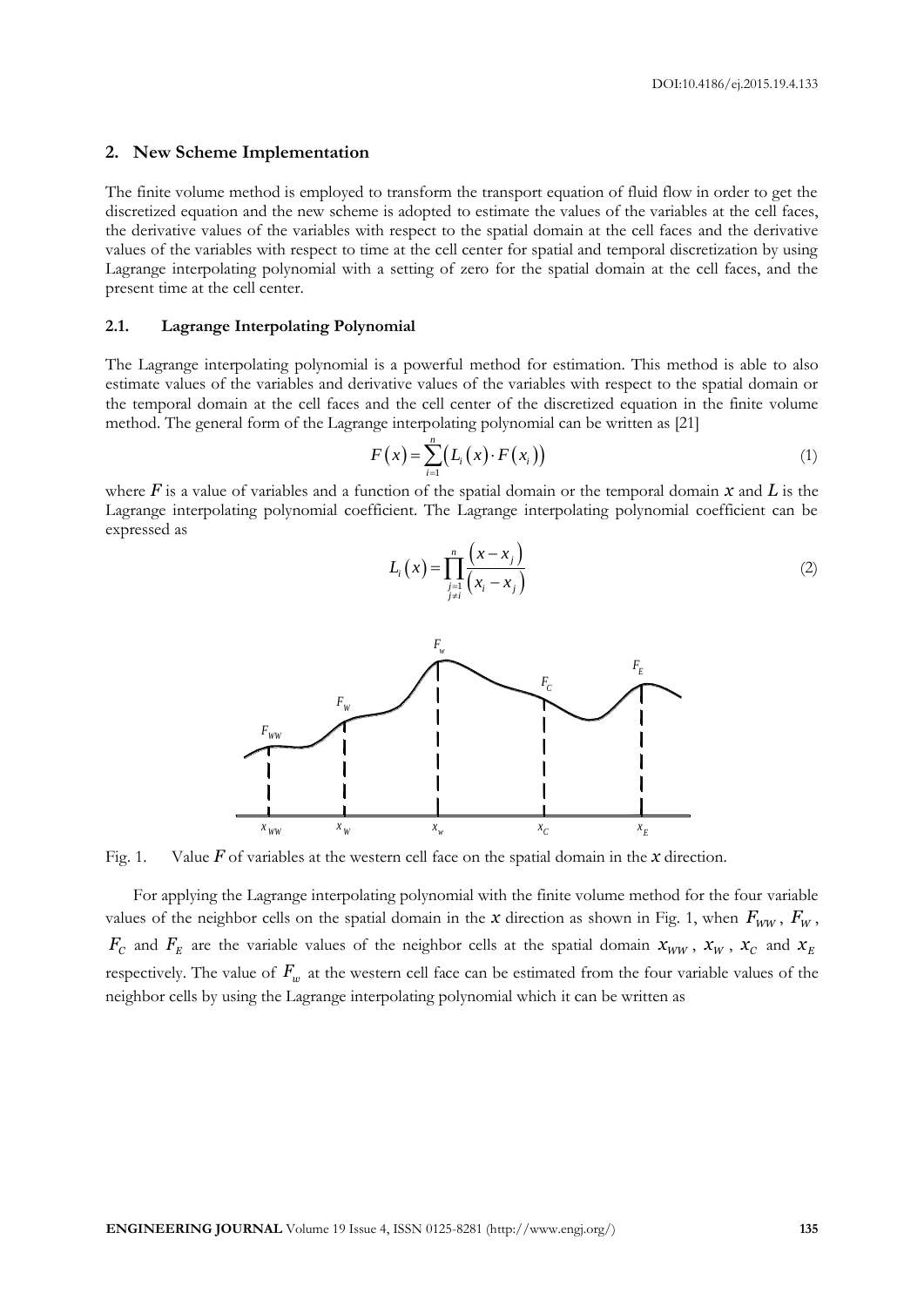#### **2. New Scheme Implementation**

The finite volume method is employed to transform the transport equation of fluid flow in order to get the discretized equation and the new scheme is adopted to estimate the values of the variables at the cell faces, the derivative values of the variables with respect to the spatial domain at the cell faces and the derivative values of the variables with respect to time at the cell center for spatial and temporal discretization by using Lagrange interpolating polynomial with a setting of zero for the spatial domain at the cell faces, and the present time at the cell center.

#### **2.1. Lagrange Interpolating Polynomial**

The Lagrange interpolating polynomial is a powerful method for estimation. This method is able to also estimate values of the variables and derivative values of the variables with respect to the spatial domain or the temporal domain at the cell faces and the cell center of the discretized equation in the finite volume method. The general form of the Lagrange interpolating polynomial can be written as [21]

$$
F(x) = \sum_{i=1}^{n} (L_i(x) \cdot F(x_i))
$$
\n(1)

where  $\vec{F}$  is a value of variables and a function of the spatial domain or the temporal domain  $\chi$  and  $\vec{L}$  is the Lagrange interpolating polynomial coefficient. The Lagrange interpolating polynomial coefficient can be expressed as

 $\prod_{\substack{j=1 \ j \neq i}}^n (x_i - x_j)$ 

 $(x-x_i)$  $\frac{1}{1}(x_i-x_i)$  $\frac{n}{\prod}$   $(x-x_j)$ 

 $x - x$ 

 $\prod_{i=1}^{n}$   $(x_i - x_i)$  $=\prod_{i=1}^n\frac{(x-1)}{(x_i-1)}$ 

 $(x)$ 

 $L_i(x)$ 



Fig. 1. Value *F* of variables at the western cell face on the spatial domain in the *x* direction.

For applying the Lagrange interpolating polynomial with the finite volume method for the four variable values of the neighbor cells on the spatial domain in the *x* direction as shown in Fig. 1, when  $F_{WW}$ ,  $F_{W}$ ,  $F_c$  and  $F_E$  are the variable values of the neighbor cells at the spatial domain  $x_{WW}$ ,  $x_w$ ,  $x_c$  and  $x_E$ respectively. The value of  $F_w$  at the western cell face can be estimated from the four variable values of the neighbor cells by using the Lagrange interpolating polynomial which it can be written as

(2)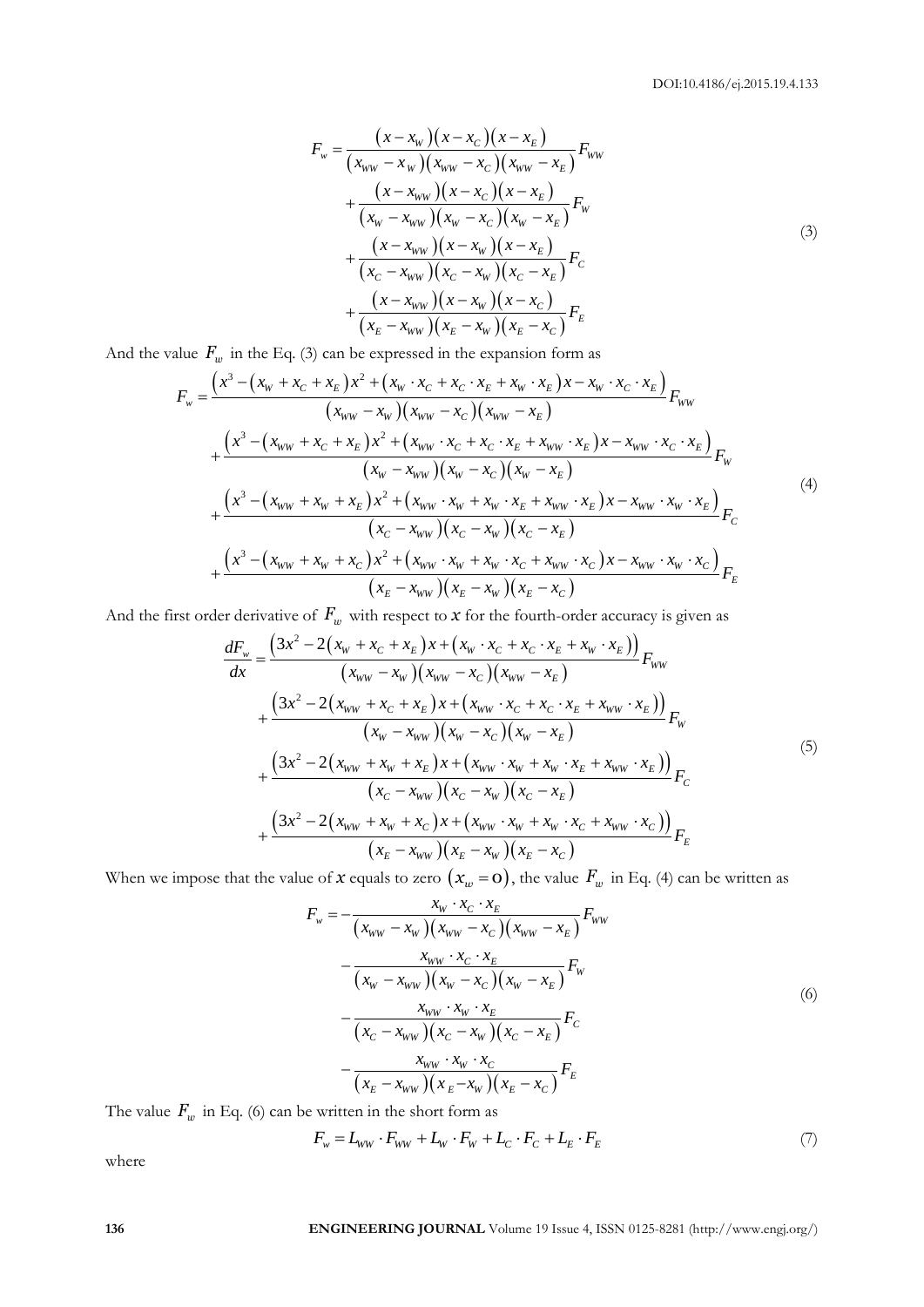$$
F_w = \frac{(x - x_w)(x - x_c)(x - x_E)}{(x_{ww} - x_w)(x_{ww} - x_c)(x_{ww} - x_E)} F_{ww}
$$
  
+ 
$$
\frac{(x - x_{ww})(x - x_c)(x - x_E)}{(x_w - x_{ww})(x_w - x_c)(x_w - x_E)} F_w
$$
  
+ 
$$
\frac{(x - x_{ww})(x - x_w)(x - x_E)}{(x_c - x_{ww})(x_c - x_w)(x_c - x_E)} F_c
$$
  
+ 
$$
\frac{(x - x_{ww})(x - x_w)(x - x_c)}{(x_E - x_{ww})(x_E - x_w)(x_E - x_c)} F_E
$$
  
(3)

And the value 
$$
F_w
$$
 in the Eq. (3) can be expressed in the expansion form as  
\n
$$
F_w = \frac{(x^3 - (x_w + x_c + x_E)x^2 + (x_w \cdot x_C + x_C \cdot x_E + x_w \cdot x_E)x - x_w \cdot x_C \cdot x_E)}{(x_{ww} - x_w)(x_{ww} - x_C)(x_{ww} - x_E)} F_{ww}
$$
\n
$$
+ \frac{(x^3 - (x_{ww} + x_C + x_E)x^2 + (x_{ww} \cdot x_C + x_C \cdot x_E + x_{ww} \cdot x_E)x - x_{ww} \cdot x_C \cdot x_E)}{(x_w - x_{ww})(x_w - x_C)(x_w - x_E)} F_w
$$
\n
$$
+ \frac{(x^3 - (x_{ww} + x_w + x_E)x^2 + (x_{ww} \cdot x_w + x_w \cdot x_E + x_{ww} \cdot x_E)x - x_{ww} \cdot x_w \cdot x_E)}{(x_C - x_{ww})(x_C - x_w)(x_C - x_E)} F_C
$$
\n
$$
+ \frac{(x^3 - (x_{ww} + x_w + x_C)x^2 + (x_{ww} \cdot x_w + x_w \cdot x_C + x_{ww} \cdot x_C)x - x_{ww} \cdot x_w \cdot x_C)}{(x_C - x_{ww})(x_C - x_w)(x_C - x_E)} F_E
$$
\n
$$
+ \frac{(x^3 - (x_{ww} + x_w + x_C)x^2 + (x_{ww} \cdot x_w + x_w \cdot x_C + x_{ww} \cdot x_C)x - x_{ww} \cdot x_w \cdot x_C)}{(x_E - x_{ww})(x_E - x_w)(x_E - x_C)} F_E
$$

And the first order derivative of  $F_w$  with respect to  $x$  for the fourth-order accuracy is given as

er derivative of 
$$
F_w
$$
 with respect to  $x$  for the fourth-order accuracy is given as  
\n
$$
\frac{dF_w}{dx} = \frac{(3x^2 - 2(x_w + x_c + x_E)x + (x_w \cdot x_c + x_c \cdot x_E + x_w \cdot x_E))}{(x_{ww} - x_w)(x_{ww} - x_c)(x_{ww} - x_E)} F_{ww} + \frac{(3x^2 - 2(x_{ww} + x_c + x_E)x + (x_{ww} \cdot x_c + x_c \cdot x_E + x_{ww} \cdot x_E))}{(x_w - x_{ww})(x_w - x_c)(x_w - x_E)} F_w + \frac{(3x^2 - 2(x_{ww} + x_w + x_E)x + (x_{ww} \cdot x_w + x_w \cdot x_E + x_{ww} \cdot x_E))}{(x_c - x_{ww})(x_c - x_w)(x_c - x_E)} F_c + \frac{(3x^2 - 2(x_{ww} + x_w + x_c)x + (x_{ww} \cdot x_w + x_w \cdot x_c + x_{ww} \cdot x_c))}{(x_E - x_{ww})(x_E - x_w)(x_E - x_c)} F_E
$$
\n(4.1.1)

When we impose that the value of 
$$
x
$$
 equals to zero  $(x_w = \mathbf{0})$ , the value  $F_w$  in Eq. (4) can be written as\n
$$
F_w = -\frac{x_w \cdot x_c \cdot x_E}{(x_{ww} - x_w)(x_{ww} - x_c)(x_{ww} - x_E)} F_{ww}
$$
\n
$$
-\frac{x_{ww} \cdot x_c \cdot x_E}{(x_w - x_{ww})(x_w - x_c)(x_w - x_E)} F_w
$$
\n
$$
-\frac{x_{ww} \cdot x_w \cdot x_E}{(x_c - x_{ww})(x_c - x_w)(x_c - x_E)} F_c
$$
\n
$$
-\frac{x_{ww} \cdot x_w \cdot x_C}{(x_E - x_{ww})(x_E - x_w)(x_E - x_C)} F_E
$$
\n(6)

The value 
$$
F_w
$$
 in Eq. (6) can be written in the short form as  
\n
$$
F_w = L_{ww} \cdot F_{ww} + L_w \cdot F_w + L_c \cdot F_c + L_E \cdot F_E
$$
\n(7)

where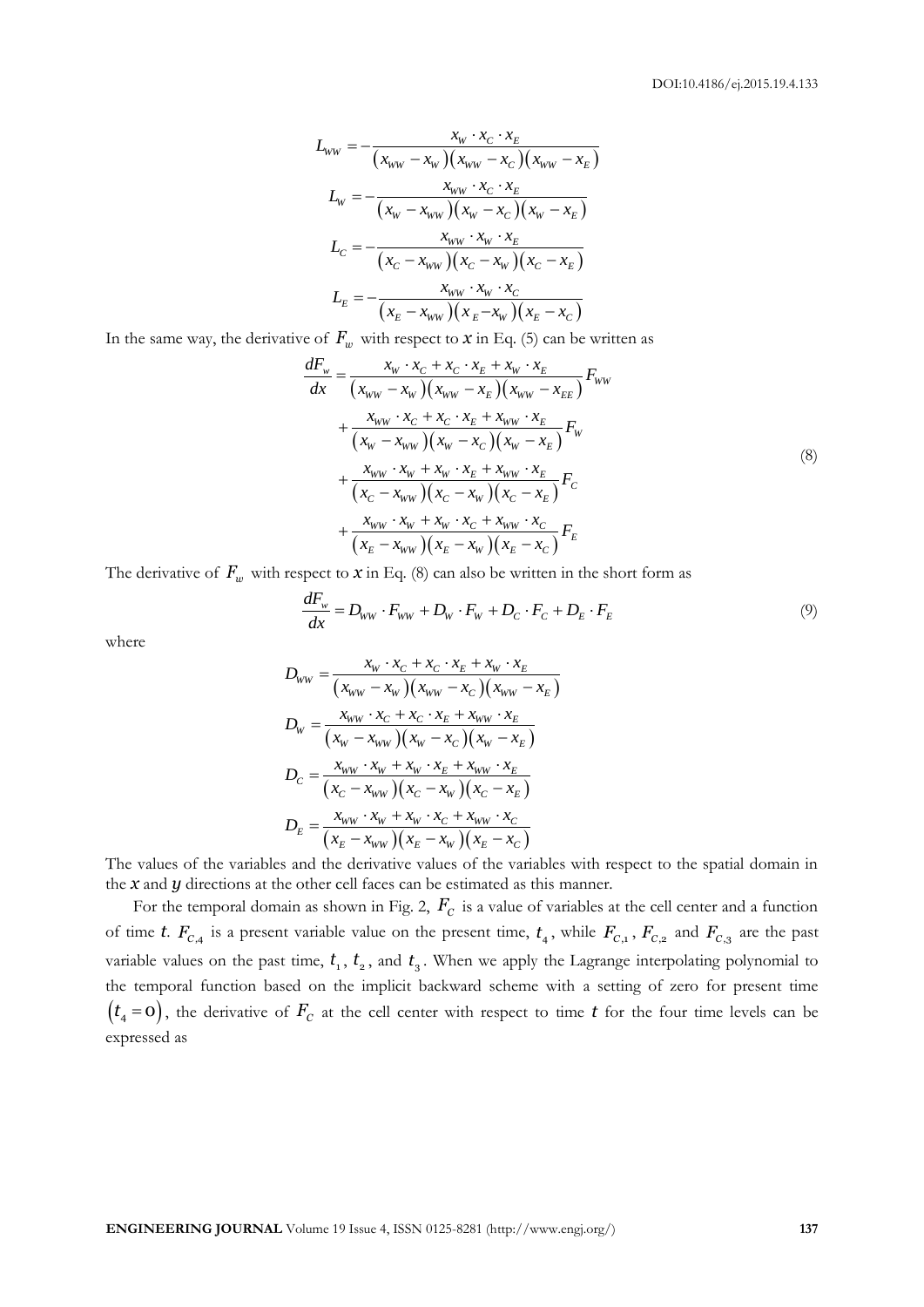$$
L_{ww} = -\frac{x_w \cdot x_c \cdot x_E}{(x_{ww} - x_w)(x_{ww} - x_c)(x_{ww} - x_E)}
$$
  
\n
$$
L_w = -\frac{x_{ww} \cdot x_c \cdot x_E}{(x_w - x_{ww})(x_w - x_c)(x_w - x_E)}
$$
  
\n
$$
L_c = -\frac{x_{ww} \cdot x_w \cdot x_E}{(x_c - x_{ww})(x_c - x_w)(x_c - x_E)}
$$
  
\n
$$
L_E = -\frac{x_{ww} \cdot x_w \cdot x_C}{(x_E - x_{ww})(x_E - x_w)(x_E - x_C)}
$$

In the same way, the derivative of *Fw* with respect to *x* in Eq. (5) can be written as *dF x x x x x x <sup>F</sup>*

$$
\frac{dF_w}{dx} = \frac{x_W \cdot x_C + x_C \cdot x_E + x_W \cdot x_E}{(x_{WW} - x_W)(x_{WW} - x_E)(x_{WW} - x_{EE})} F_{WW} \n+ \frac{x_{WW} \cdot x_C + x_C \cdot x_E + x_{WW} \cdot x_E}{(x_W - x_{WW})(x_W - x_C)(x_W - x_E)} F_W \n+ \frac{x_{WW} \cdot x_W + x_W \cdot x_E + x_{WW} \cdot x_E}{(x_C - x_{WW})(x_C - x_W)(x_C - x_E)} F_C \n+ \frac{x_{WW} \cdot x_W + x_W \cdot x_C + x_{WW} \cdot x_C}{(x_E - x_{WW})(x_E - x_W)(x_E - x_C)} F_E
$$
\n(8)

The derivative of 
$$
F_w
$$
 with respect to  $x$  in Eq. (8) can also be written in the short form as\n
$$
\frac{dF_w}{dx} = D_{ww} \cdot F_{ww} + D_w \cdot F_w + D_c \cdot F_c + D_E \cdot F_E
$$
\n(9)

where

$$
D_{WW} = \frac{x_W \cdot x_C + x_C \cdot x_E + x_W \cdot x_E}{(x_{WW} - x_W)(x_{WW} - x_C)(x_{WW} - x_E)}
$$
  
\n
$$
D_W = \frac{x_{WW} \cdot x_C + x_C \cdot x_E + x_{WW} \cdot x_E}{(x_W - x_{WW})(x_W - x_C)(x_W - x_E)}
$$
  
\n
$$
D_C = \frac{x_{WW} \cdot x_W + x_W \cdot x_E + x_{WW} \cdot x_E}{(x_C - x_{WW})(x_C - x_W)(x_C - x_E)}
$$
  
\n
$$
D_E = \frac{x_{WW} \cdot x_W + x_W \cdot x_C + x_{WW} \cdot x_C}{(x_E - x_{WW})(x_E - x_W)(x_E - x_C)}
$$

The values of the variables and the derivative values of the variables with respect to the spatial domain in the *x* and *y* directions at the other cell faces can be estimated as this manner.

For the temporal domain as shown in Fig. 2,  $F_c$  is a value of variables at the cell center and a function of time *t*.  $F_{C,4}$  is a present variable value on the present time,  $t_4$ , while  $F_{C,1}$ ,  $F_{C,2}$  and  $F_{C,3}$  are the past variable values on the past time,  $t_1$ ,  $t_2$ , and  $t_3$ . When we apply the Lagrange interpolating polynomial to the temporal function based on the implicit backward scheme with a setting of zero for present time  $(t_4 = 0)$ , the derivative of  $F_c$  at the cell center with respect to time *t* for the four time levels can be expressed as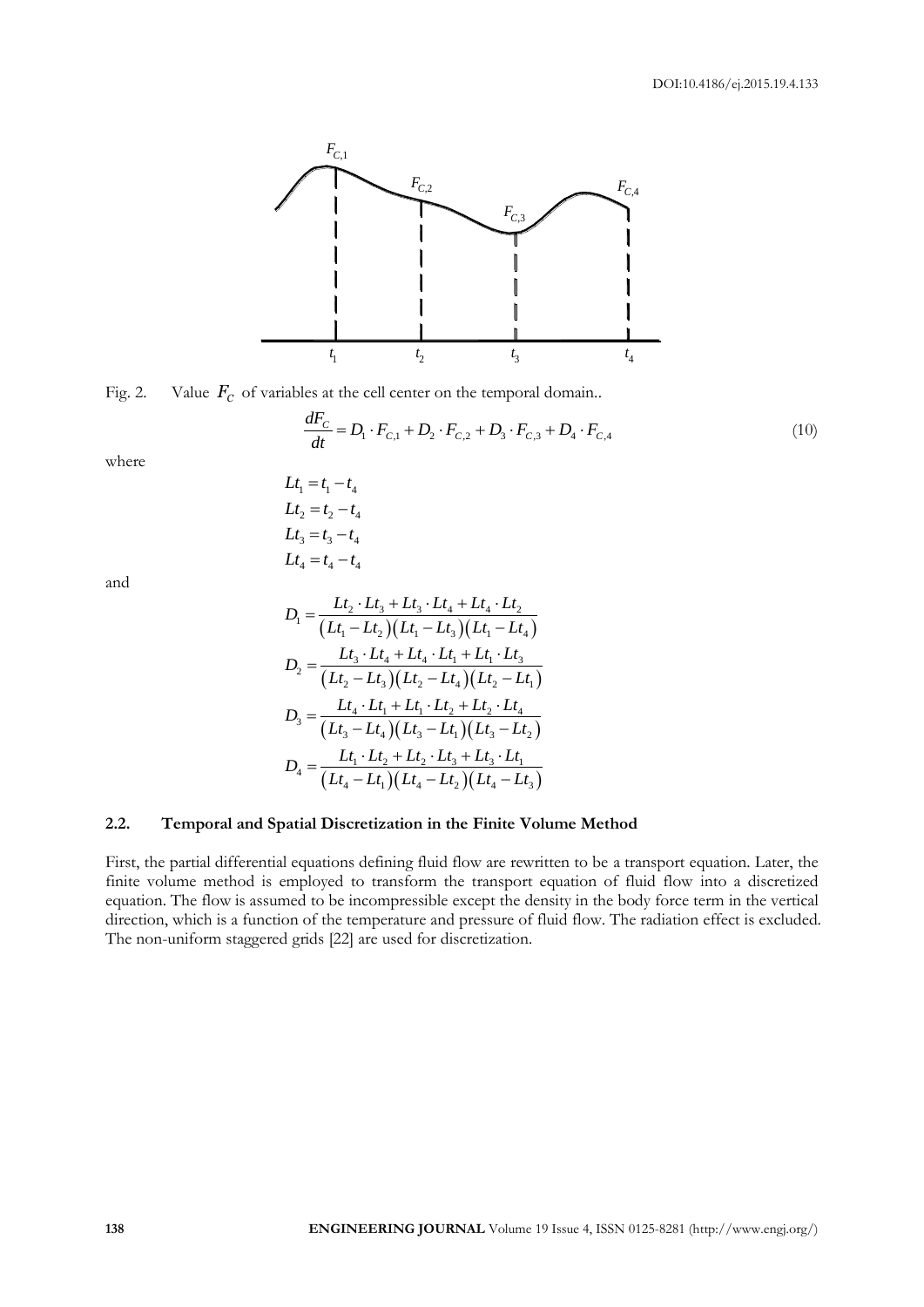

Fig. 2. Value 
$$
F_C
$$
 of variables at the cell center on the temporal domain.  
\n
$$
\frac{dF_C}{dt} = D_1 \cdot F_{C,1} + D_2 \cdot F_{C,2} + D_3 \cdot F_{C,3} + D_4 \cdot F_{C,4}
$$
\n(10)

where

$$
Lt_1 = t_1 - t_4
$$
  
\n
$$
Lt_2 = t_2 - t_4
$$
  
\n
$$
Lt_3 = t_3 - t_4
$$
  
\n
$$
Lt_4 = t_4 - t_4
$$

and

$$
D_1 = \frac{Lt_2 \cdot Lt_3 + Lt_3 \cdot Lt_4 + Lt_4 \cdot Lt_2}{(Lt_1 - Lt_2)(Lt_1 - Lt_3)(Lt_1 - Lt_4)}
$$
  
\n
$$
D_2 = \frac{Lt_3 \cdot Lt_4 + Lt_4 \cdot Lt_1 + Lt_1 \cdot Lt_3}{(Lt_2 - Lt_3)(Lt_2 - Lt_4)(Lt_2 - Lt_1)}
$$
  
\n
$$
D_3 = \frac{Lt_4 \cdot Lt_1 + Lt_1 \cdot Lt_2 + Lt_2 \cdot Lt_4}{(Lt_3 - Lt_4)(Lt_3 - Lt_1)(Lt_3 - Lt_2)}
$$
  
\n
$$
D_4 = \frac{Lt_1 \cdot Lt_2 + Lt_2 \cdot Lt_3 + Lt_3 \cdot Lt_1}{(Lt_4 - Lt_1)(Lt_4 - Lt_2)(Lt_4 - Lt_3)}
$$

#### **2.2. Temporal and Spatial Discretization in the Finite Volume Method**

First, the partial differential equations defining fluid flow are rewritten to be a transport equation. Later, the finite volume method is employed to transform the transport equation of fluid flow into a discretized equation. The flow is assumed to be incompressible except the density in the body force term in the vertical direction, which is a function of the temperature and pressure of fluid flow. The radiation effect is excluded. The non-uniform staggered grids [22] are used for discretization.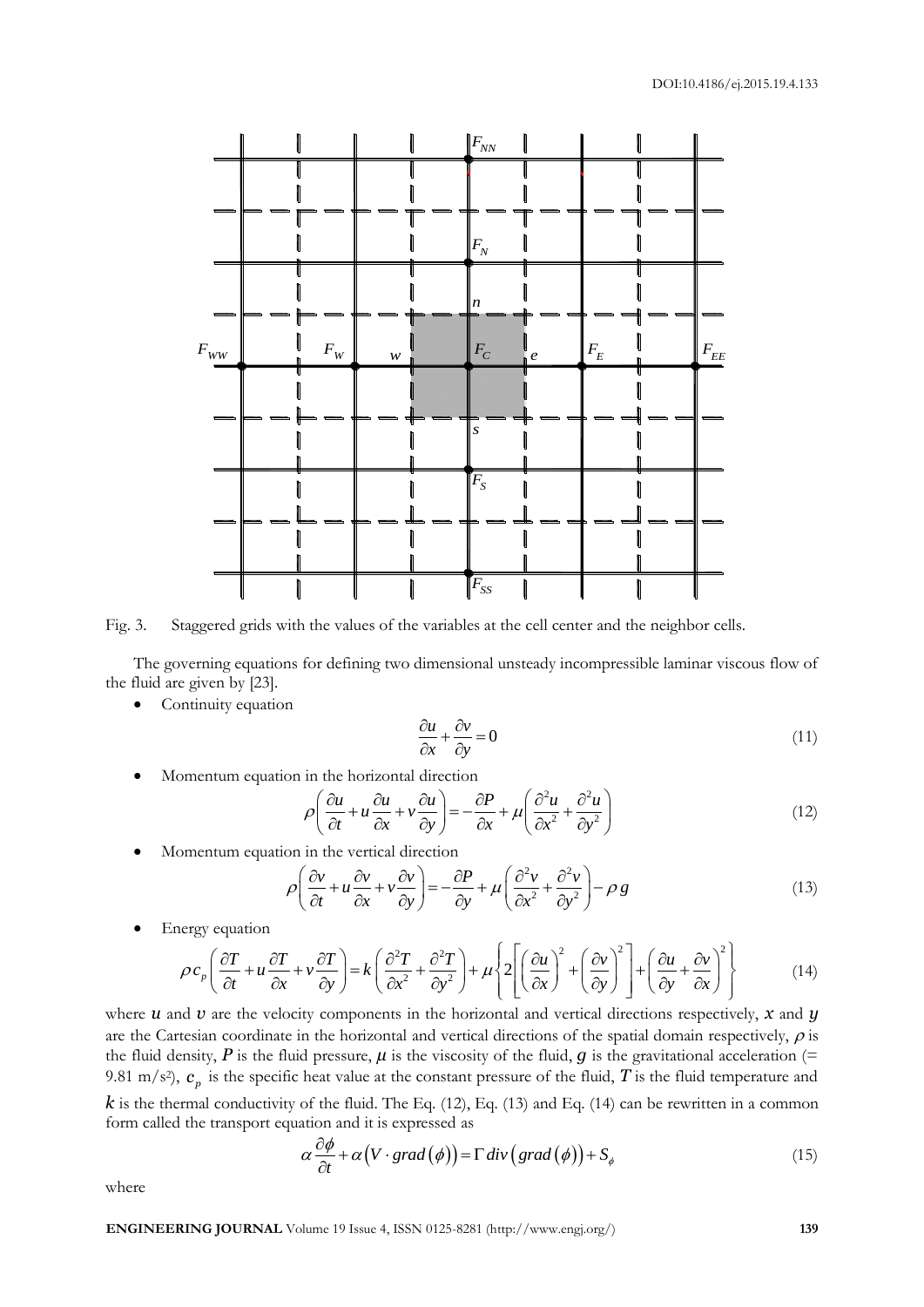

Fig. 3. Staggered grids with the values of the variables at the cell center and the neighbor cells.

The governing equations for defining two dimensional unsteady incompressible laminar viscous flow of the fluid are given by [23].

• Continuity equation

$$
\frac{\partial u}{\partial x} + \frac{\partial v}{\partial y} = 0\tag{11}
$$

$$
\bullet \quad \text{Momentum equation in the horizontal direction} \\ \rho \left( \frac{\partial u}{\partial t} + u \frac{\partial u}{\partial x} + v \frac{\partial u}{\partial y} \right) = -\frac{\partial P}{\partial x} + \mu \left( \frac{\partial^2 u}{\partial x^2} + \frac{\partial^2 u}{\partial y^2} \right) \tag{12}
$$

• Momentum equation in the vertical direction  
\n
$$
\rho \left( \frac{\partial v}{\partial t} + u \frac{\partial v}{\partial x} + v \frac{\partial v}{\partial y} \right) = -\frac{\partial P}{\partial y} + \mu \left( \frac{\partial^2 v}{\partial x^2} + \frac{\partial^2 v}{\partial y^2} \right) - \rho g
$$
\n(13)

Energy equation

$$
\rho \left( \frac{\partial T}{\partial t} + u \frac{\partial T}{\partial x} + v \frac{\partial T}{\partial y} \right) = -\frac{\partial T}{\partial y} + \mu \left( \frac{\partial T}{\partial x^2} + \frac{\partial T}{\partial y^2} \right) - \rho g
$$
\n(13)\n
$$
\rho c_p \left( \frac{\partial T}{\partial t} + u \frac{\partial T}{\partial x} + v \frac{\partial T}{\partial y} \right) = k \left( \frac{\partial^2 T}{\partial x^2} + \frac{\partial^2 T}{\partial y^2} \right) + \mu \left\{ 2 \left[ \left( \frac{\partial u}{\partial x} \right)^2 + \left( \frac{\partial v}{\partial y} \right)^2 \right] + \left( \frac{\partial u}{\partial y} + \frac{\partial v}{\partial x} \right)^2 \right\}
$$
\n(14)\nand 11 are the velocity components in the horizontal and vertical directions respectively. X and 11

where  $u$  and  $v$  are the velocity components in the horizontal and vertical directions respectively,  $x$  and  $y$ are the Cartesian coordinate in the horizontal and vertical directions of the spatial domain respectively,  $\rho$  is the fluid density,  $P$  is the fluid pressure,  $\mu$  is the viscosity of the fluid,  $g$  is the gravitational acceleration (= 9.81 m/s<sup>2</sup>),  $c_p$  is the specific heat value at the constant pressure of the fluid,  $T$  is the fluid temperature and  $k$  is the thermal conductivity of the fluid. The Eq. (12), Eq. (13) and Eq. (14) can be rewritten in a common

form called the transport equation and it is expressed as  
\n
$$
\alpha \frac{\partial \phi}{\partial t} + \alpha \big( V \cdot \text{grad} \big( \phi \big) \big) = \Gamma \, div \big( \text{grad} \big( \phi \big) \big) + S_{\phi}
$$
\n(15)

where

**ENGINEERING JOURNAL** Volume 19 Issue 4, ISSN 0125-8281 (http://www.engj.org/) **139**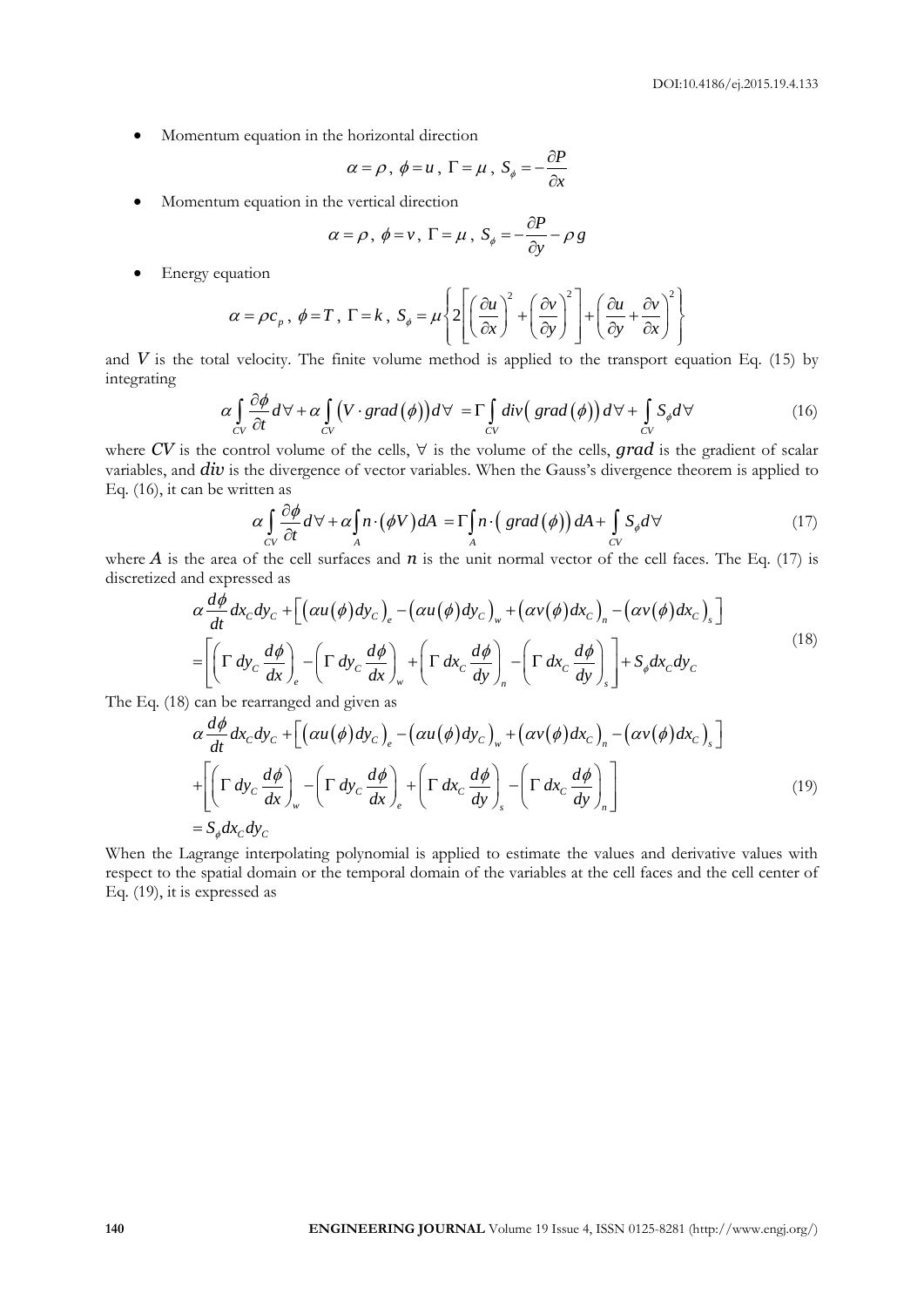Momentum equation in the horizontal direction

$$
\alpha = \rho, \; \phi = u, \; \Gamma = \mu, \; S_{\phi} = -\frac{\partial P}{\partial x}
$$

Momentum equation in the vertical direction

$$
\alpha = \rho, \ \phi = v, \ \Gamma = \mu, \ S_{\phi} = -\frac{\partial P}{\partial y} - \rho \ g
$$

• Energy equation

uation  

$$
\alpha = \rho c_p
$$
,  $\phi = T$ ,  $\Gamma = k$ ,  $S_{\phi} = \mu \left\{ 2 \left[ \left( \frac{\partial u}{\partial x} \right)^2 + \left( \frac{\partial v}{\partial y} \right)^2 \right] + \left( \frac{\partial u}{\partial y} + \frac{\partial v}{\partial x} \right)^2 \right\}$ 

and *V* is the total velocity. The finite volume method is applied to the transport equation Eq. (15) by<br>integrating<br> $\alpha \int_{\alpha} \frac{\partial \phi}{\partial t} d\forall + \alpha \int_{\alpha} (V \cdot grad(\phi)) d\forall = \Gamma \int_{\alpha} div (grad(\phi)) d\forall + \int_{\alpha} S_{\phi} d\forall$  (16) integrating

$$
\left[ \begin{array}{cc} \lfloor \sqrt{c}x \rfloor & \lfloor \sqrt{c}y \rfloor \rfloor & \lfloor \sqrt{c}y \rfloor & \lfloor \sqrt{c}y \rfloor \rfloor \end{array} \right]
$$
\nal velocity. The finite volume method is applied to the transport equation Eq. (15) by

\n
$$
\alpha \int_{CV} \frac{\partial \phi}{\partial t} d\forall + \alpha \int_{CV} \left( V \cdot \text{grad}(\phi) \right) d\forall = \Gamma \int_{CV} \text{div} \left( \text{grad}(\phi) \right) d\forall + \int_{CV} S_{\phi} d\forall \tag{16}
$$

where CV is the control volume of the cells,  $\forall$  is the volume of the cells, grad is the gradient of scalar variables, and *div* is the divergence of vector variables. When the Gauss's divergence theorem is applied to Eq. (16), it can be written as<br>  $\alpha \int_{CV} \frac{\partial \phi}{\partial t} d\forall + \alpha \int_{A} n \cdot (\phi V) dA = \Gamma \int_{A} n \cdot (grad(\phi)) dA + \int_{CV} S_{\phi} d\forall$  (17) Eq. (16), it can be written as

then as  
\n
$$
\alpha \int_{CV} \frac{\partial \phi}{\partial t} d\forall + \alpha \int_{A} n \cdot (\phi V) dA = \Gamma \int_{A} n \cdot (grad(\phi)) dA + \int_{CV} S_{\phi} d\forall
$$
\n(17)

discretized and expressed as

where *A* is the area of the cell surfaces and *n* is the unit normal vector of the cell faces. The Eq. (17) is  
discretized and expressed as  

$$
\alpha \frac{d\phi}{dt} dx_c dy_c + \left[ \left( \alpha u(\phi) dy_c \right)_e - \left( \alpha u(\phi) dy_c \right)_w + \left( \alpha v(\phi) dx_c \right)_n - \left( \alpha v(\phi) dx_c \right)_s \right]
$$

$$
= \left[ \left( \Gamma dy_c \frac{d\phi}{dx} \right)_e - \left( \Gamma dy_c \frac{d\phi}{dx} \right)_w + \left( \Gamma dx_c \frac{d\phi}{dy} \right)_n - \left( \Gamma dx_c \frac{d\phi}{dy} \right)_s \right] + S_\phi dx_c dy_c
$$
(18)

The Eq. (18) can be rearranged and given as

$$
\left[\left(\begin{array}{cc} c & dx \end{array}\right)_e \left(\begin{array}{cc} c & dx \end{array}\right)_w \left(\begin{array}{cc} c & dy \end{array}\right)_n \left(\begin{array}{cc} c & dy \end{array}\right)_s\right] \quad \phi \quad c \in \mathbb{C}
$$
\n  
\ncan be rearranged and given as\n
$$
\alpha \frac{d\phi}{dt} dx_c dy_c + \left[\left(\alpha u(\phi) dy_c\right)_e - \left(\alpha u(\phi) dy_c\right)_w + \left(\alpha v(\phi) dx_c\right)_n - \left(\alpha v(\phi) dx_c\right)_s\right]
$$
\n
$$
+ \left[\left(\Gamma dy_c \frac{d\phi}{dx}\right)_w - \left(\Gamma dy_c \frac{d\phi}{dx}\right)_e + \left(\Gamma dx_c \frac{d\phi}{dy}\right)_s - \left(\Gamma dx_c \frac{d\phi}{dy}\right)_n\right]
$$
\n
$$
= S_\phi dx_c dy_c \tag{19}
$$

When the Lagrange interpolating polynomial is applied to estimate the values and derivative values with respect to the spatial domain or the temporal domain of the variables at the cell faces and the cell center of Eq. (19), it is expressed as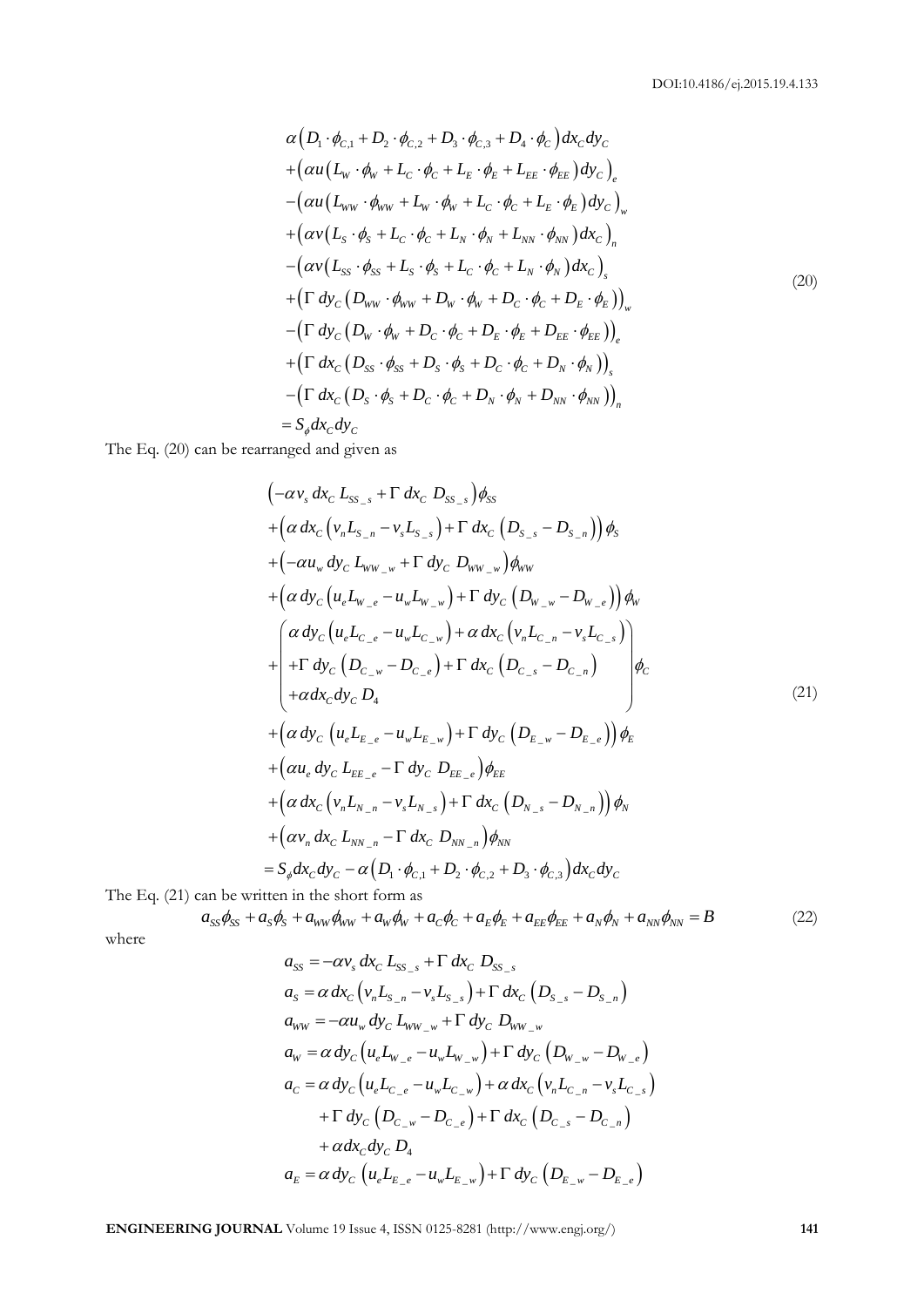$$
\alpha (D_1 \cdot \phi_{C,1} + D_2 \cdot \phi_{C,2} + D_3 \cdot \phi_{C,3} + D_4 \cdot \phi_C) dx_C dy_C \n+ (\alpha u (L_w \cdot \phi_w + L_C \cdot \phi_C + L_E \cdot \phi_E + L_{EE} \cdot \phi_{EE}) dy_C)_e \n- (\alpha u (L_{ww} \cdot \phi_w + L_w \cdot \phi_w + L_C \cdot \phi_C + L_E \cdot \phi_E) dy_C)_w \n+ (\alpha v (L_s \cdot \phi_s + L_C \cdot \phi_C + L_N \cdot \phi_N + L_{NN} \cdot \phi_{NN}) dx_C)_n \n- (\alpha v (L_{ss} \cdot \phi_{ss} + L_s \cdot \phi_s + L_C \cdot \phi_C + L_N \cdot \phi_N) dx_C)_s \n+ (\Gamma dy_C (D_{ww} \cdot \phi_{ww} + D_w \cdot \phi_w + D_C \cdot \phi_C + D_E \cdot \phi_E))_w \n- (\Gamma dy_C (D_w \cdot \phi_w + D_C \cdot \phi_C + D_E \cdot \phi_E + D_{EE} \cdot \phi_{EE}))_e \n+ (\Gamma dx_C (D_{ss} \cdot \phi_{ss} + D_s \cdot \phi_s + D_C \cdot \phi_C + D_N \cdot \phi_N))_s \n- (\Gamma dx_C (D_s \cdot \phi_s + D_C \cdot \phi_C + D_N \cdot \phi_N + D_{NN} \cdot \phi_{NN}))_n \n= S_\phi dx_C dy_C
$$
\n(20)

The Eq. (20) can be rearranged and given as  
\n
$$
\begin{aligned}\n&\left(-\alpha v_s \, dx_c \, L_{S_{S-s}} + \Gamma \, dx_c \, D_{S_{S-s}}\right) \phi_{SS} \\
&+ \left(\alpha \, dx_c \left(v_n L_{S_{-n}} - v_s L_{S_{-s}}\right) + \Gamma \, dx_c \left(D_{S_{-s}} - D_{S_{-n}}\right)\right) \phi_s \\
&+ \left(-\alpha u_w \, dy_c \, L_{WW_{-w}} + \Gamma \, dy_c \, D_{WW_{-w}}\right) \phi_{WW} \\
&+ \left(\alpha \, dy_c \left(u_e L_{W_{-e}} - u_w L_{W_{-w}}\right) + \Gamma \, dy_c \left(D_{W_{-w}} - D_{W_{-e}}\right)\right) \phi_W \\
&+ \left(\alpha \, dy_c \left(u_e L_{C_{-e}} - u_w L_{C_{-w}}\right) + \alpha \, dx_c \left(v_n L_{C_{-n}} - v_s L_{C_{-s}}\right)\right) \phi_c \\
&+ \alpha \, dx_c \, dy_c \, D_4\n\end{aligned}
$$
\n
$$
\begin{aligned}\n&+ \left(\alpha \, dx_c \left(u_e L_{E_{-e}} - u_w L_{E_{-w}}\right) + \Gamma \, dy_c \left(D_{E_{-w}} - D_{E_{-e}}\right)\right) \phi_E \\
&+ \left(\alpha u_e \, dy_c \, L_{EE_{-e}} - \Gamma \, dy_c \, D_{EE_{-e}}\right) \phi_{EE} \\
&+ \left(\alpha u_e \, dy_c \, L_{W_{-n}} - v_s L_{N_{-s}}\right) + \Gamma \, dx_c \left(D_{N_{-s}} - D_{N_{-n}}\right)\right) \phi_N \\
&+ \left(\alpha v_n \, dx_c \, L_{W_{-n}} - \Gamma \, dx_c \, D_{NN_{-n}}\right) \phi_{NN} \\
&= S_g dx_c dy_c - \alpha \left(D_1 \cdot \phi_{c,1} + D_2 \cdot \phi_{c,2} + D_3 \cdot \phi_{c,3}\right) dx_c dy_c\n\end{aligned}
$$
\nThe Eq. (21) can be written in the short form as  
\n
$$
\begin{aligned}\na_{SS} \phi_{SS} + a_S \phi_S + a_{WW} \phi_{WW} + a_W \phi_W + a_c \phi_c + a_E \phi_E + a_R \phi_E + a_W \phi_W + a_W \phi_W = B\n\end{aligned}
$$
\n(22)

The Eq. (21) can be written in the short form as

$$
a_{SS}\phi_{SS} + a_S\phi_S + a_{WW}\phi_{WW} + a_W\phi_W + a_C\phi_C + a_E\phi_E + a_{EE}\phi_{EE} + a_N\phi_N + a_{NN}\phi_{NN} = B
$$
 (22)

where

$$
a_{SS} = -\alpha v_s \, dx_C \, L_{SS_s} + \Gamma \, dx_C \, D_{SS_s}
$$
  
\n
$$
a_S = \alpha \, dx_C \left( v_n L_{S_{-n}} - v_s L_{S_{-s}} \right) + \Gamma \, dx_C \left( D_{S_{-s}} - D_{S_{-n}} \right)
$$
  
\n
$$
a_{WW} = -\alpha u_w \, dy_C \, L_{WW_{-w}} + \Gamma \, dy_C \, D_{WW_{-w}}
$$
  
\n
$$
a_W = \alpha \, dy_C \left( u_e L_{W_{-e}} - u_w L_{W_{-w}} \right) + \Gamma \, dy_C \left( D_{W_{-w}} - D_{W_{-e}} \right)
$$
  
\n
$$
a_C = \alpha \, dy_C \left( u_e L_{C_{-e}} - u_w L_{C_{-w}} \right) + \alpha \, dx_C \left( v_n L_{C_{-n}} - v_s L_{C_{-s}} \right)
$$
  
\n
$$
+ \Gamma \, dy_C \left( D_{C_{-w}} - D_{C_{-e}} \right) + \Gamma \, dx_C \left( D_{C_{-s}} - D_{C_{-n}} \right)
$$
  
\n
$$
+ \alpha \, dx_C \, dy_C \, D_4
$$
  
\n
$$
a_E = \alpha \, dy_C \left( u_e L_{E_{-e}} - u_w L_{E_{-w}} \right) + \Gamma \, dy_C \left( D_{E_{-w}} - D_{E_{-e}} \right)
$$

**ENGINEERING JOURNAL** Volume 19 Issue 4, ISSN 0125-8281 (http://www.engj.org/) **141**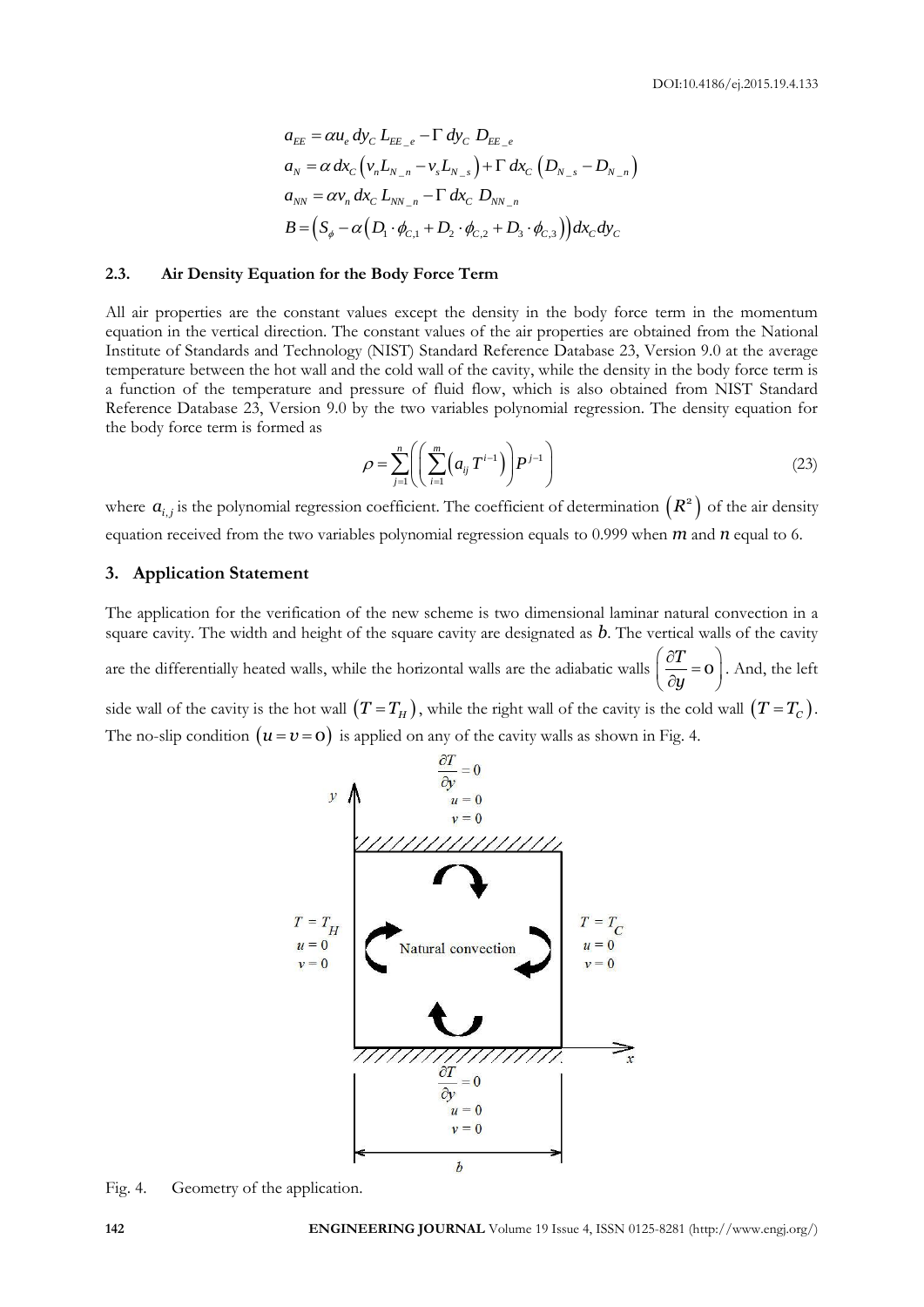$$
a_{EE} = \alpha u_e \, dy_C \, L_{EE_e} - \Gamma \, dy_C \, D_{EE_e}
$$
  
\n
$$
a_N = \alpha \, dx_C \left( v_n L_{N-n} - v_s L_{N-s} \right) + \Gamma \, dx_C \left( D_{N-s} - D_{N-n} \right)
$$
  
\n
$$
a_{NN} = \alpha v_n \, dx_C \, L_{NN-n} - \Gamma \, dx_C \, D_{NN-n}
$$
  
\n
$$
B = \left( S_\phi - \alpha \left( D_1 \cdot \phi_{C,1} + D_2 \cdot \phi_{C,2} + D_3 \cdot \phi_{C,3} \right) \right) dx_C dy_C
$$

#### **2.3. Air Density Equation for the Body Force Term**

All air properties are the constant values except the density in the body force term in the momentum equation in the vertical direction. The constant values of the air properties are obtained from the National Institute of Standards and Technology (NIST) Standard Reference Database 23, Version 9.0 at the average temperature between the hot wall and the cold wall of the cavity, while the density in the body force term is a function of the temperature and pressure of fluid flow, which is also obtained from NIST Standard Reference Database 23, Version 9.0 by the two variables polynomial regression. The density equation for the body force term is formed as

$$
\rho = \sum_{j=1}^{n} \left( \left( \sum_{i=1}^{m} \left( a_{ij} T^{i-1} \right) \right) P^{j-1} \right) \tag{23}
$$

where  $a_{i,j}$  is the polynomial regression coefficient. The coefficient of determination  $(R^2)$  of the air density equation received from the two variables polynomial regression equals to 0.999 when *m* and *n* equal to 6.

#### **3. Application Statement**

The application for the verification of the new scheme is two dimensional laminar natural convection in a square cavity. The width and height of the square cavity are designated as *b*. The vertical walls of the cavity are the differentially heated walls, while the horizontal walls are the adiabatic walls  $\left(\frac{\partial T}{\partial t}\right) = 0$ *y*  $\left(\frac{\partial T}{\partial u} = 0\right)$  $\begin{pmatrix} \partial y & \end{pmatrix}$ . And, the left side wall of the cavity is the hot wall  $(T = T_H)$ , while the right wall of the cavity is the cold wall  $(T = T_c)$ . The no-slip condition  $(u = v = o)$  is applied on any of the cavity walls as shown in Fig. 4.



Fig. 4. Geometry of the application.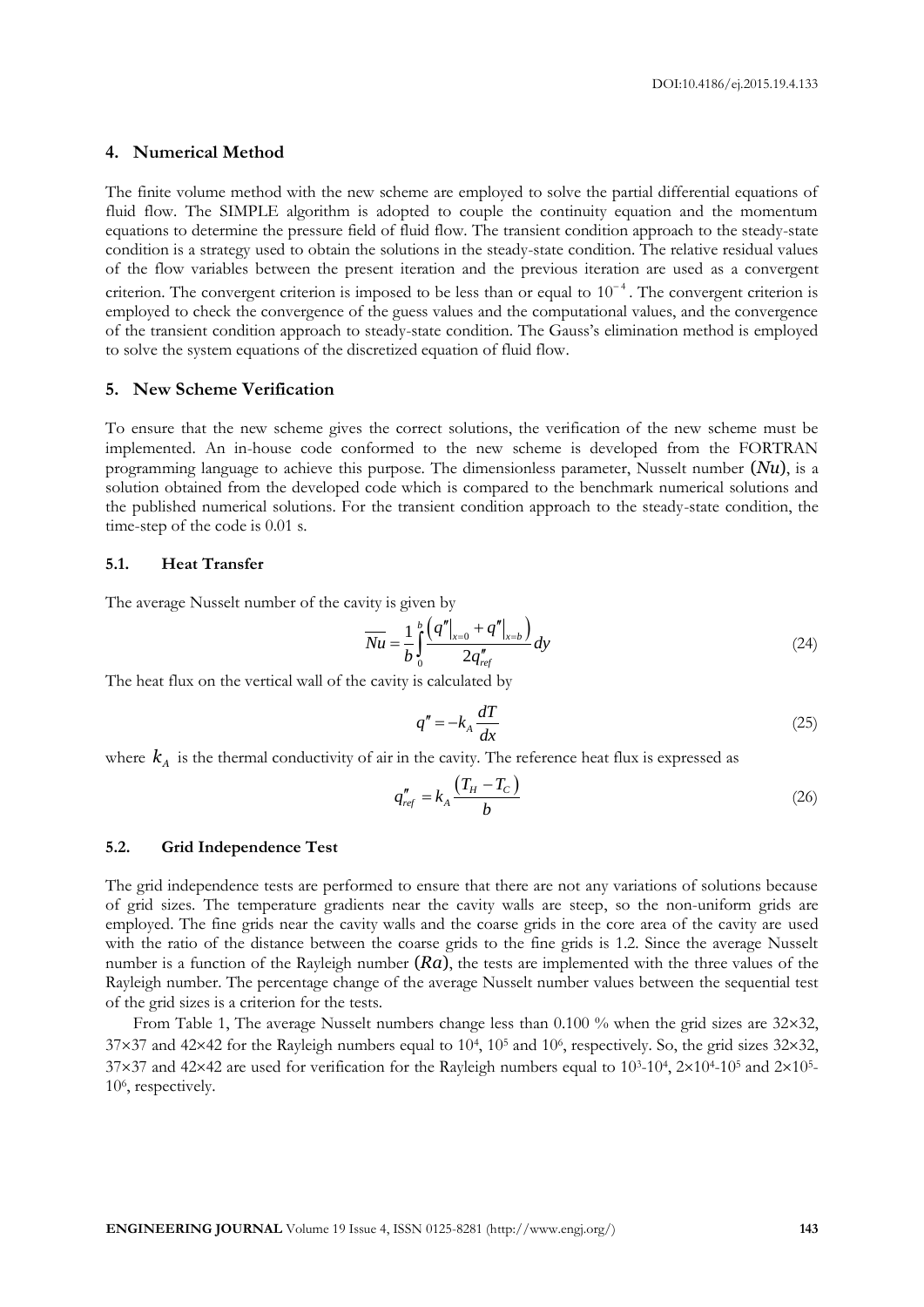#### **4. Numerical Method**

The finite volume method with the new scheme are employed to solve the partial differential equations of fluid flow. The SIMPLE algorithm is adopted to couple the continuity equation and the momentum equations to determine the pressure field of fluid flow. The transient condition approach to the steady-state condition is a strategy used to obtain the solutions in the steady-state condition. The relative residual values of the flow variables between the present iteration and the previous iteration are used as a convergent criterion. The convergent criterion is imposed to be less than or equal to  $10^{-4}$ . The convergent criterion is employed to check the convergence of the guess values and the computational values, and the convergence of the transient condition approach to steady-state condition. The Gauss's elimination method is employed to solve the system equations of the discretized equation of fluid flow.

### **5. New Scheme Verification**

To ensure that the new scheme gives the correct solutions, the verification of the new scheme must be implemented. An in-house code conformed to the new scheme is developed from the FORTRAN programming language to achieve this purpose. The dimensionless parameter, Nusselt number (*Nu*), is a solution obtained from the developed code which is compared to the benchmark numerical solutions and the published numerical solutions. For the transient condition approach to the steady-state condition, the time-step of the code is 0.01 s.

#### **5.1. Heat Transfer**

The average Nusselt number of the cavity is given by

$$
\overline{Nu} = \frac{1}{b} \int_{0}^{b} \frac{\left(q''\right|_{x=0} + q''\right|_{x=b})}{2q''_{ref}} dy
$$
\n(24)

The heat flux on the vertical wall of the cavity is calculated by

$$
q'' = -k_A \frac{dT}{dx}
$$
 (25)

where  $\,k_{\scriptscriptstyle A}\,$  is the thermal conductivity of air in the cavity. The reference heat flux is expressed as

$$
q_{ref}'' = k_A \frac{(T_H - T_C)}{b} \tag{26}
$$

#### **5.2. Grid Independence Test**

The grid independence tests are performed to ensure that there are not any variations of solutions because of grid sizes. The temperature gradients near the cavity walls are steep, so the non-uniform grids are employed. The fine grids near the cavity walls and the coarse grids in the core area of the cavity are used with the ratio of the distance between the coarse grids to the fine grids is 1.2. Since the average Nusselt number is a function of the Rayleigh number (*Ra*), the tests are implemented with the three values of the Rayleigh number. The percentage change of the average Nusselt number values between the sequential test of the grid sizes is a criterion for the tests.

From Table 1, The average Nusselt numbers change less than 0.100 % when the grid sizes are 32×32,  $37\times37$  and  $42\times42$  for the Rayleigh numbers equal to  $10^4$ ,  $10^5$  and  $10^6$ , respectively. So, the grid sizes  $32\times32$ ,  $37\times37$  and  $42\times42$  are used for verification for the Rayleigh numbers equal to  $10^{3}$ - $10^{4}$ ,  $2\times10^{4}$ - $10^{5}$  and  $2\times10^{5}$ -10<sup>6</sup> , respectively.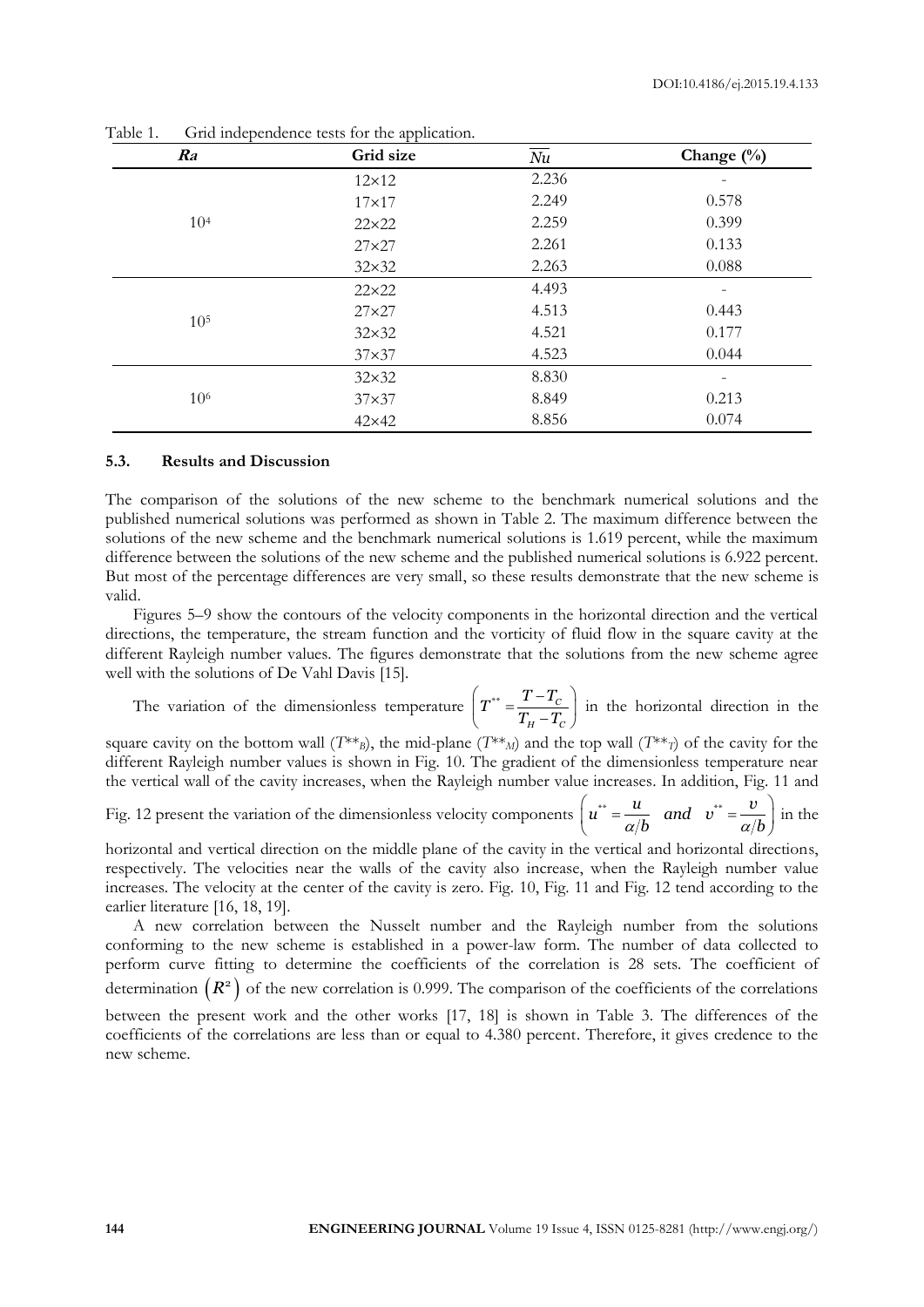| * *<br>Grid size<br>Ra |               | Nu    | Change $(\%)$            |  |
|------------------------|---------------|-------|--------------------------|--|
|                        | $12\times12$  | 2.236 | $\overline{\phantom{m}}$ |  |
|                        | $17\times17$  | 2.249 | 0.578                    |  |
| 10 <sup>4</sup>        | $22\times22$  | 2.259 | 0.399                    |  |
|                        | $27\times27$  | 2.261 | 0.133                    |  |
|                        | $32\times32$  | 2.263 | 0.088                    |  |
|                        | $22\times22$  | 4.493 | -                        |  |
| 10 <sup>5</sup>        | $27\times27$  | 4.513 | 0.443                    |  |
|                        | $32\times32$  | 4.521 | 0.177                    |  |
|                        | $37\times37$  | 4.523 | 0.044                    |  |
|                        | $32\times32$  | 8.830 |                          |  |
| 10 <sup>6</sup>        | $37\times37$  | 8.849 | 0.213                    |  |
|                        | $42\times 42$ | 8.856 | 0.074                    |  |

Table 1. Grid independence tests for the application.

#### **5.3. Results and Discussion**

The comparison of the solutions of the new scheme to the benchmark numerical solutions and the published numerical solutions was performed as shown in Table 2. The maximum difference between the solutions of the new scheme and the benchmark numerical solutions is 1.619 percent, while the maximum difference between the solutions of the new scheme and the published numerical solutions is 6.922 percent. But most of the percentage differences are very small, so these results demonstrate that the new scheme is valid.

Figures 5–9 show the contours of the velocity components in the horizontal direction and the vertical directions, the temperature, the stream function and the vorticity of fluid flow in the square cavity at the different Rayleigh number values. The figures demonstrate that the solutions from the new scheme agree well with the solutions of De Vahl Davis [15].

The variation of the dimensionless temperature  $T^{**} = \frac{T - T_c}{T}$ *H C*  $T^{**} = \frac{T - T_c}{T_H - T_c}$  $\left(T^{**}=\frac{T-T_C}{T_H-T_C}\right)^{T}$ in the horizontal direction in the

square cavity on the bottom wall ( $T^{**}$ *B*), the mid-plane ( $T^{**}$ *M*) and the top wall ( $T^{**}$ *T*) of the cavity for the different Rayleigh number values is shown in Fig. 10. The gradient of the dimensionless temperature near the vertical wall of the cavity increases, when the Rayleigh number value increases. In addition, Fig. 11 and

Fig. 12 present the variation of the dimensionless velocity components 
$$
\left(u^{**} = \frac{u}{\alpha/b} \quad \text{and} \quad v^{**} = \frac{v}{\alpha/b}\right)
$$
 in the

horizontal and vertical direction on the middle plane of the cavity in the vertical and horizontal directions, respectively. The velocities near the walls of the cavity also increase, when the Rayleigh number value increases. The velocity at the center of the cavity is zero. Fig. 10, Fig. 11 and Fig. 12 tend according to the earlier literature [16, 18, 19].

A new correlation between the Nusselt number and the Rayleigh number from the solutions conforming to the new scheme is established in a power-law form. The number of data collected to perform curve fitting to determine the coefficients of the correlation is 28 sets. The coefficient of determination  $(R^2)$  of the new correlation is 0.999. The comparison of the coefficients of the correlations between the present work and the other works [17, 18] is shown in Table 3. The differences of the coefficients of the correlations are less than or equal to 4.380 percent. Therefore, it gives credence to the

new scheme.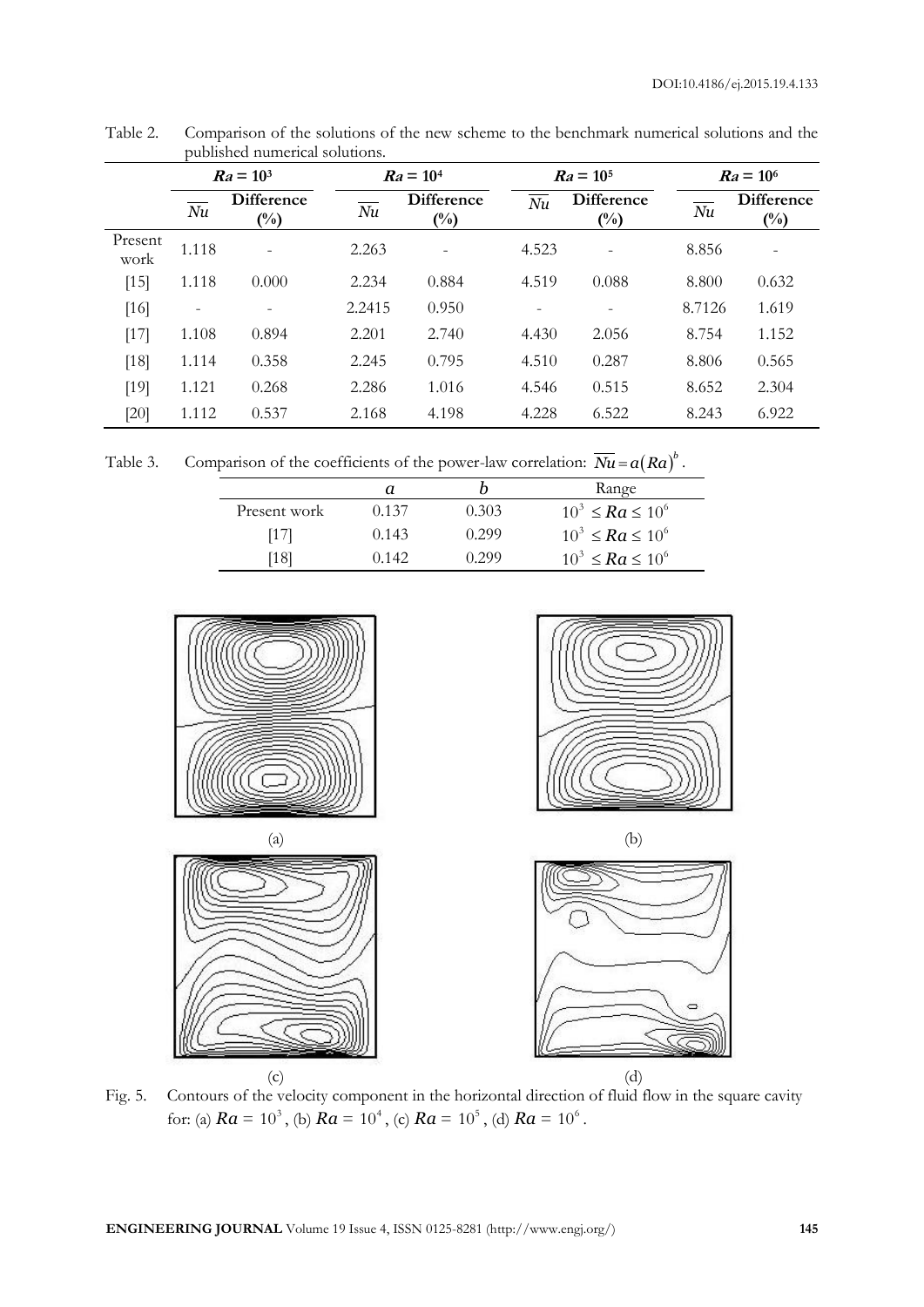|                 | $Ra = 10^3$ |                                     | $Ra = 10^4$ |                             | $Ra = 10^5$ |                                     | $Ra = 10^6$                |                                     |
|-----------------|-------------|-------------------------------------|-------------|-----------------------------|-------------|-------------------------------------|----------------------------|-------------------------------------|
|                 | Nu          | <b>Difference</b><br>$\binom{0}{0}$ | Nu          | <b>Difference</b><br>$(\%)$ | Nu          | <b>Difference</b><br>$\binom{0}{0}$ | $\overline{\overline{Nu}}$ | <b>Difference</b><br>$\binom{0}{0}$ |
| Present<br>work | 1.118       |                                     | 2.263       |                             | 4.523       |                                     | 8.856                      |                                     |
| $[15]$          | 1.118       | 0.000                               | 2.234       | 0.884                       | 4.519       | 0.088                               | 8.800                      | 0.632                               |
| $[16]$          |             |                                     | 2.2415      | 0.950                       |             |                                     | 8.7126                     | 1.619                               |
| $[17]$          | 1.108       | 0.894                               | 2.201       | 2.740                       | 4.430       | 2.056                               | 8.754                      | 1.152                               |
| $[18]$          | 1.114       | 0.358                               | 2.245       | 0.795                       | 4.510       | 0.287                               | 8.806                      | 0.565                               |
| $[19]$          | 1.121       | 0.268                               | 2.286       | 1.016                       | 4.546       | 0.515                               | 8.652                      | 2.304                               |
| $[20]$          | 1.112       | 0.537                               | 2.168       | 4.198                       | 4.228       | 6.522                               | 8.243                      | 6.922                               |

Table 2. Comparison of the solutions of the new scheme to the benchmark numerical solutions and the published numerical solutions.

Table 3. Comparison of the coefficients of the power-law correlation:  $\overline{Nu} = a(Ra)^b$ .

|              |       |       | Range                    |
|--------------|-------|-------|--------------------------|
| Present work | 0.137 | 0.303 | $10^3 \leq Ra \leq 10^6$ |
| [17]         | 0.143 | 0.299 | $10^3 \leq Ra \leq 10^6$ |
| [18]         | 0.142 | 0.299 | $10^3 \leq Ra \leq 10^6$ |







Fig. 5. Contours of the velocity component in the horizontal direction of fluid flow in the square cavity for: (a)  $Ra = 10^3$ , (b)  $Ra = 10^4$ , (c)  $Ra = 10^5$ , (d)  $Ra = 10^6$ .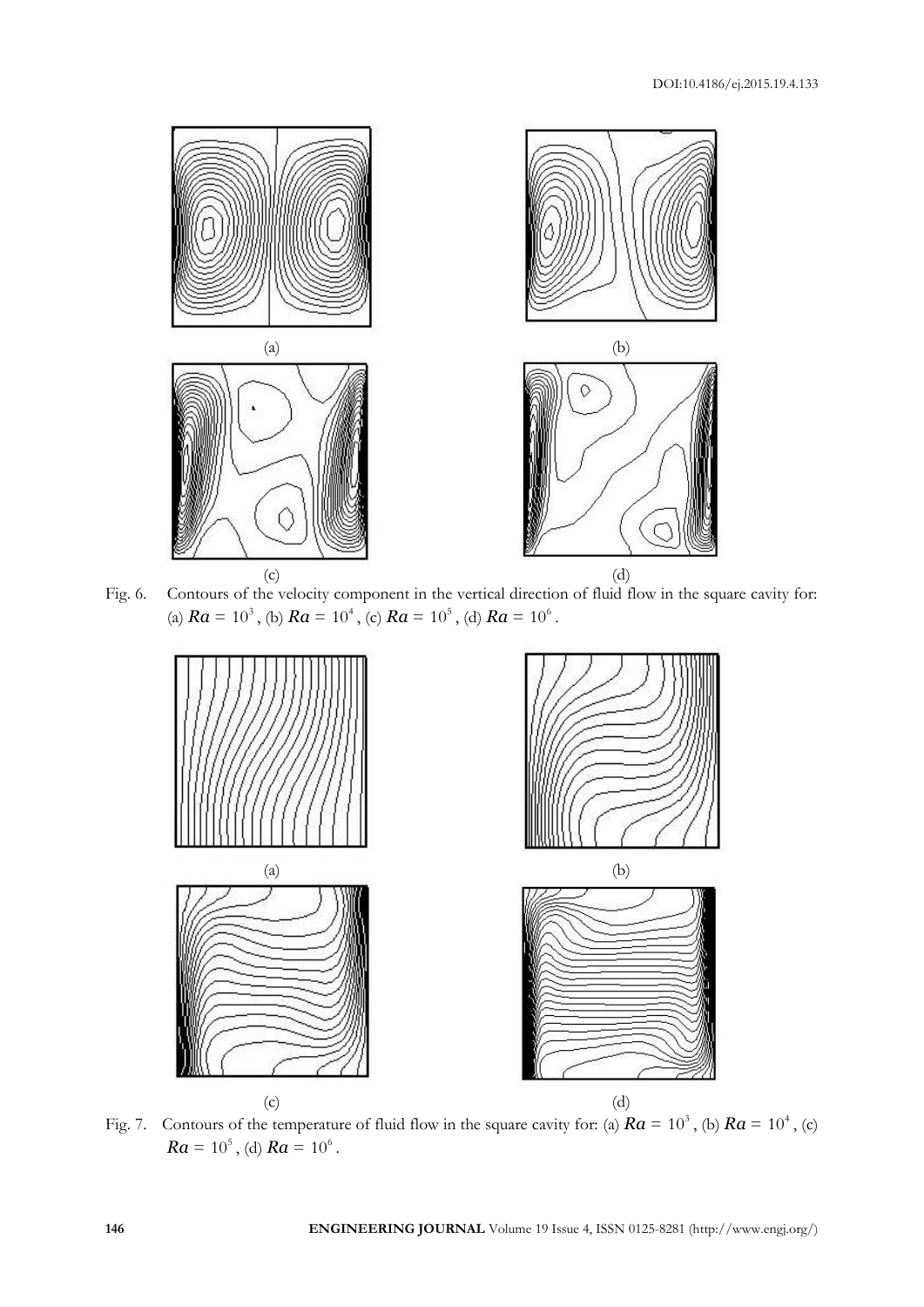

Fig. 6. Contours of the velocity component in the vertical direction of fluid flow in the square cavity for: (a)  $Ra = 10^3$ , (b)  $Ra = 10^4$ , (c)  $Ra = 10^5$ , (d)  $Ra = 10^6$ .



Fig. 7. Contours of the temperature of fluid flow in the square cavity for: (a)  $Ra = 10^3$ , (b)  $Ra = 10^4$ , (c)  $Ra = 10^5$ , (d)  $Ra = 10^6$ .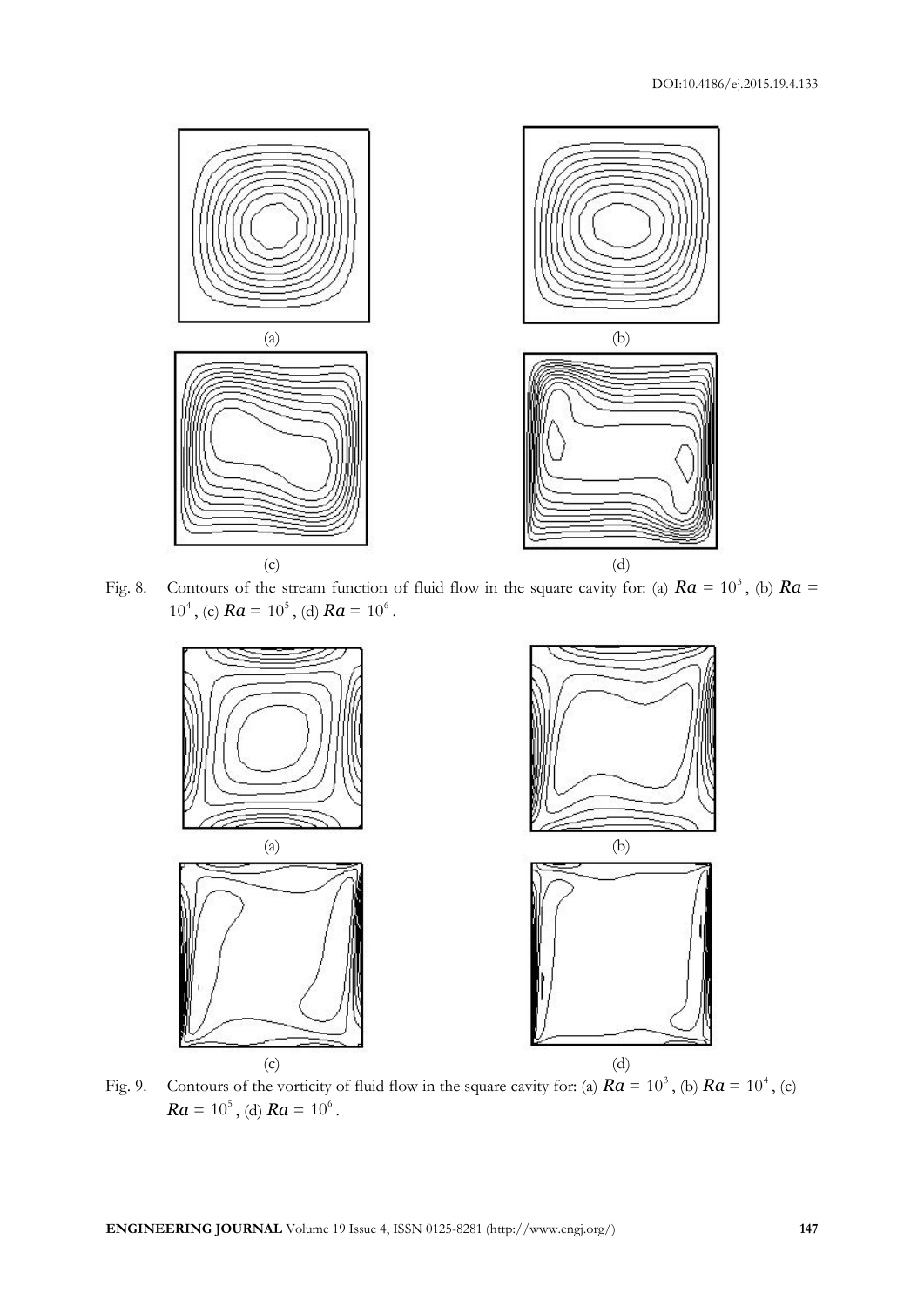

Fig. 8. Contours of the stream function of fluid flow in the square cavity for: (a)  $Ra = 10^3$ , (b)  $Ra =$ 10<sup>4</sup>, (c)  $Ra = 10^5$ , (d)  $Ra = 10^6$ .



Fig. 9. Contours of the vorticity of fluid flow in the square cavity for: (a)  $Ra = 10^3$ , (b)  $Ra = 10^4$ , (c)  $Ra = 10^5$ , (d)  $Ra = 10^6$ .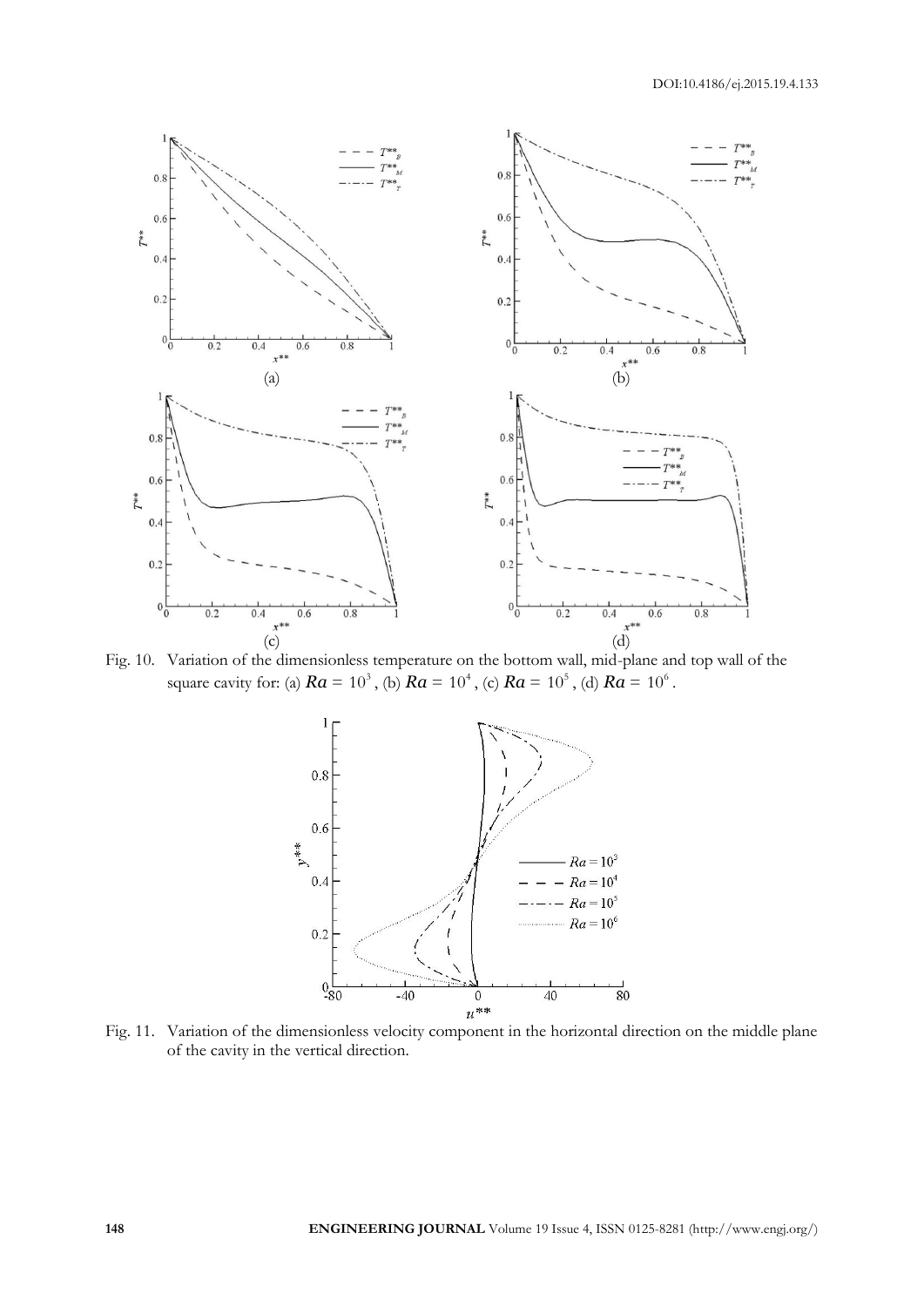

Fig. 10. Variation of the dimensionless temperature on the bottom wall, mid-plane and top wall of the square cavity for: (a)  $Ra = 10^3$ , (b)  $Ra = 10^4$ , (c)  $Ra = 10^5$ , (d)  $Ra = 10^6$ .



Fig. 11. Variation of the dimensionless velocity component in the horizontal direction on the middle plane of the cavity in the vertical direction.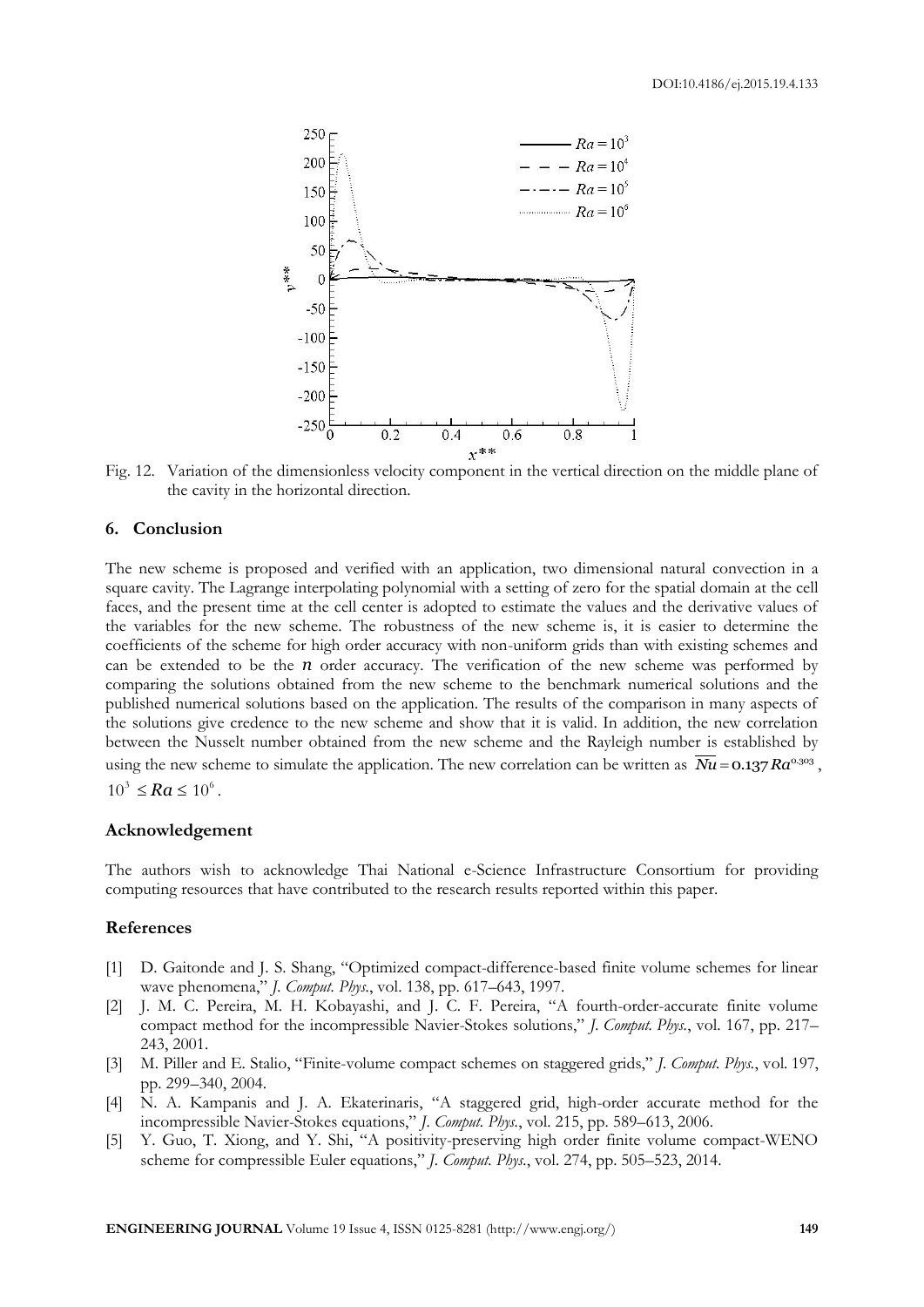

Fig. 12. Variation of the dimensionless velocity component in the vertical direction on the middle plane of the cavity in the horizontal direction.

#### **6. Conclusion**

The new scheme is proposed and verified with an application, two dimensional natural convection in a square cavity. The Lagrange interpolating polynomial with a setting of zero for the spatial domain at the cell faces, and the present time at the cell center is adopted to estimate the values and the derivative values of the variables for the new scheme. The robustness of the new scheme is, it is easier to determine the coefficients of the scheme for high order accuracy with non-uniform grids than with existing schemes and can be extended to be the  $n$  order accuracy. The verification of the new scheme was performed by comparing the solutions obtained from the new scheme to the benchmark numerical solutions and the published numerical solutions based on the application. The results of the comparison in many aspects of the solutions give credence to the new scheme and show that it is valid. In addition, the new correlation between the Nusselt number obtained from the new scheme and the Rayleigh number is established by using the new scheme to simulate the application. The new correlation can be written as  $\overline{Nu} = 0.137 Ra^{0.303}$ ,  $10^3 \leq Ra \leq 10^6$ .

#### **Acknowledgement**

The authors wish to acknowledge Thai National e-Science Infrastructure Consortium for providing computing resources that have contributed to the research results reported within this paper.

#### **References**

- [1] D. Gaitonde and J. S. Shang, "Optimized compact-difference-based finite volume schemes for linear wave phenomena," *J. Comput. Phys.*, vol. 138, pp. 617–643, 1997.
- [2] J. M. C. Pereira, M. H. Kobayashi, and J. C. F. Pereira, "A fourth-order-accurate finite volume compact method for the incompressible Navier-Stokes solutions," *J. Comput. Phys.*, vol. 167, pp. 217– 243, 2001.
- [3] M. Piller and E. Stalio, "Finite-volume compact schemes on staggered grids," *J. Comput. Phys.*, vol. 197, pp. 299–340, 2004.
- [4] N. A. Kampanis and J. A. Ekaterinaris, "A staggered grid, high-order accurate method for the incompressible Navier-Stokes equations," *J. Comput. Phys.*, vol. 215, pp. 589–613, 2006.
- [5] Y. Guo, T. Xiong, and Y. Shi, "A positivity-preserving high order finite volume compact-WENO scheme for compressible Euler equations," *J. Comput. Phys.*, vol. 274, pp. 505–523, 2014.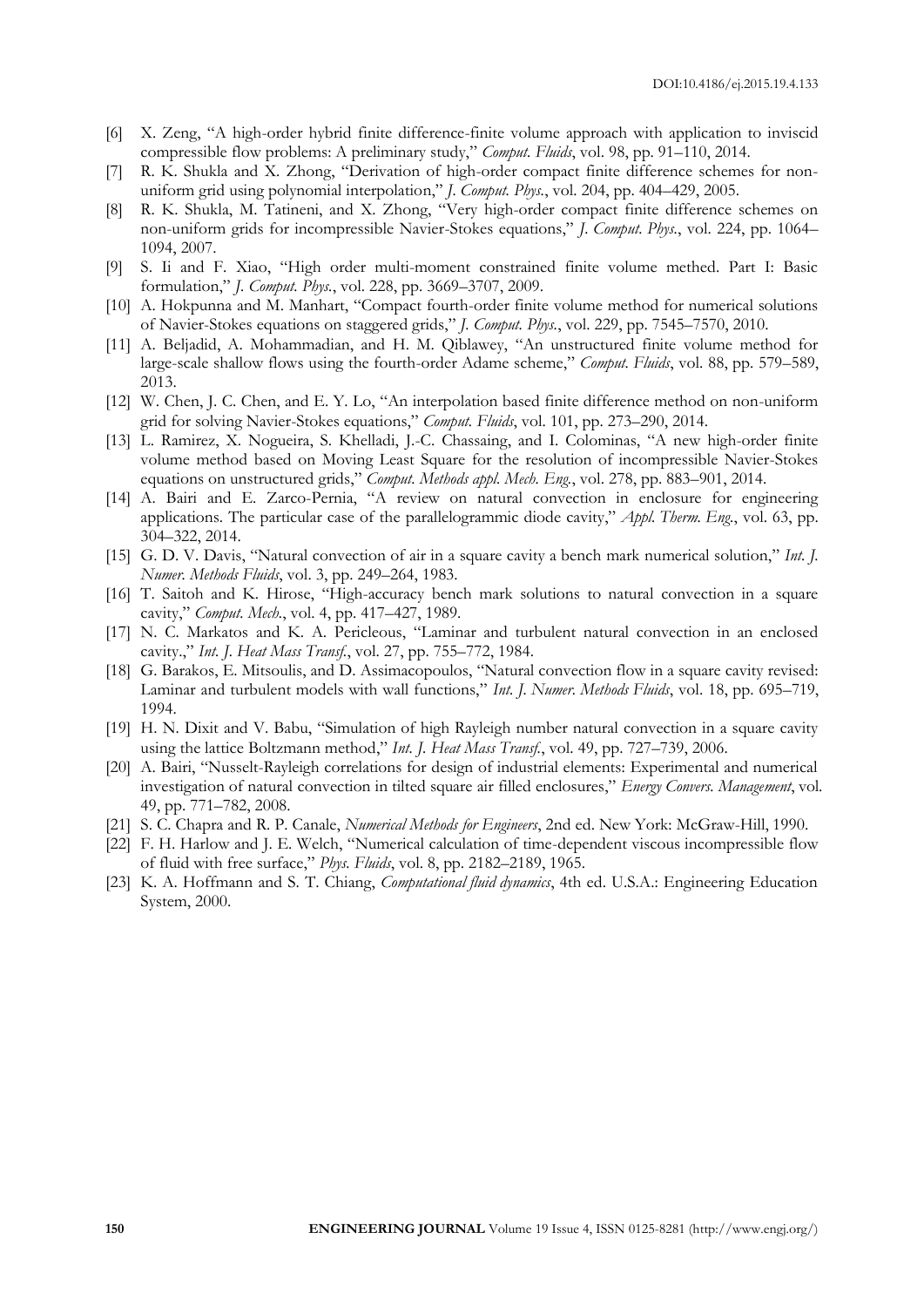- [6] X. Zeng, "A high-order hybrid finite difference-finite volume approach with application to inviscid compressible flow problems: A preliminary study," *Comput. Fluids*, vol. 98, pp. 91–110, 2014.
- [7] R. K. Shukla and X. Zhong, "Derivation of high-order compact finite difference schemes for nonuniform grid using polynomial interpolation," *J. Comput. Phys.*, vol. 204, pp. 404–429, 2005.
- [8] R. K. Shukla, M. Tatineni, and X. Zhong, "Very high-order compact finite difference schemes on non-uniform grids for incompressible Navier-Stokes equations," *J. Comput. Phys.*, vol. 224, pp. 1064– 1094, 2007.
- [9] S. Ii and F. Xiao, "High order multi-moment constrained finite volume methed. Part I: Basic formulation," *J. Comput. Phys.*, vol. 228, pp. 3669–3707, 2009.
- [10] A. Hokpunna and M. Manhart, "Compact fourth-order finite volume method for numerical solutions of Navier-Stokes equations on staggered grids," *J. Comput. Phys.*, vol. 229, pp. 7545–7570, 2010.
- [11] A. Beljadid, A. Mohammadian, and H. M. Qiblawey, "An unstructured finite volume method for large-scale shallow flows using the fourth-order Adame scheme," *Comput. Fluids*, vol. 88, pp. 579–589, 2013.
- [12] W. Chen, J. C. Chen, and E. Y. Lo, "An interpolation based finite difference method on non-uniform grid for solving Navier-Stokes equations," *Comput. Fluids*, vol. 101, pp. 273–290, 2014.
- [13] L. Ramirez, X. Nogueira, S. Khelladi, J.-C. Chassaing, and I. Colominas, "A new high-order finite volume method based on Moving Least Square for the resolution of incompressible Navier-Stokes equations on unstructured grids," *Comput. Methods appl. Mech. Eng.*, vol. 278, pp. 883–901, 2014.
- [14] A. Bairi and E. Zarco-Pernia, "A review on natural convection in enclosure for engineering applications. The particular case of the parallelogrammic diode cavity," *Appl. Therm. Eng.*, vol. 63, pp. 304–322, 2014.
- [15] G. D. V. Davis, "Natural convection of air in a square cavity a bench mark numerical solution," *Int. J. Numer. Methods Fluids*, vol. 3, pp. 249–264, 1983.
- [16] T. Saitoh and K. Hirose, "High-accuracy bench mark solutions to natural convection in a square cavity," *Comput. Mech.*, vol. 4, pp. 417–427, 1989.
- [17] N. C. Markatos and K. A. Pericleous, "Laminar and turbulent natural convection in an enclosed cavity.," *Int. J. Heat Mass Transf.*, vol. 27, pp. 755–772, 1984.
- [18] G. Barakos, E. Mitsoulis, and D. Assimacopoulos, "Natural convection flow in a square cavity revised: Laminar and turbulent models with wall functions," *Int. J. Numer. Methods Fluids*, vol. 18, pp. 695–719, 1994.
- [19] H. N. Dixit and V. Babu, "Simulation of high Rayleigh number natural convection in a square cavity using the lattice Boltzmann method," *Int. J. Heat Mass Transf.*, vol. 49, pp. 727–739, 2006.
- [20] A. Bairi, "Nusselt-Rayleigh correlations for design of industrial elements: Experimental and numerical investigation of natural convection in tilted square air filled enclosures," *Energy Convers. Management*, vol. 49, pp. 771–782, 2008.
- [21] S. C. Chapra and R. P. Canale, *Numerical Methods for Engineers*, 2nd ed. New York: McGraw-Hill, 1990.
- [22] F. H. Harlow and J. E. Welch, "Numerical calculation of time-dependent viscous incompressible flow of fluid with free surface," *Phys. Fluids*, vol. 8, pp. 2182–2189, 1965.
- [23] K. A. Hoffmann and S. T. Chiang, *Computational fluid dynamics*, 4th ed. U.S.A.: Engineering Education System, 2000.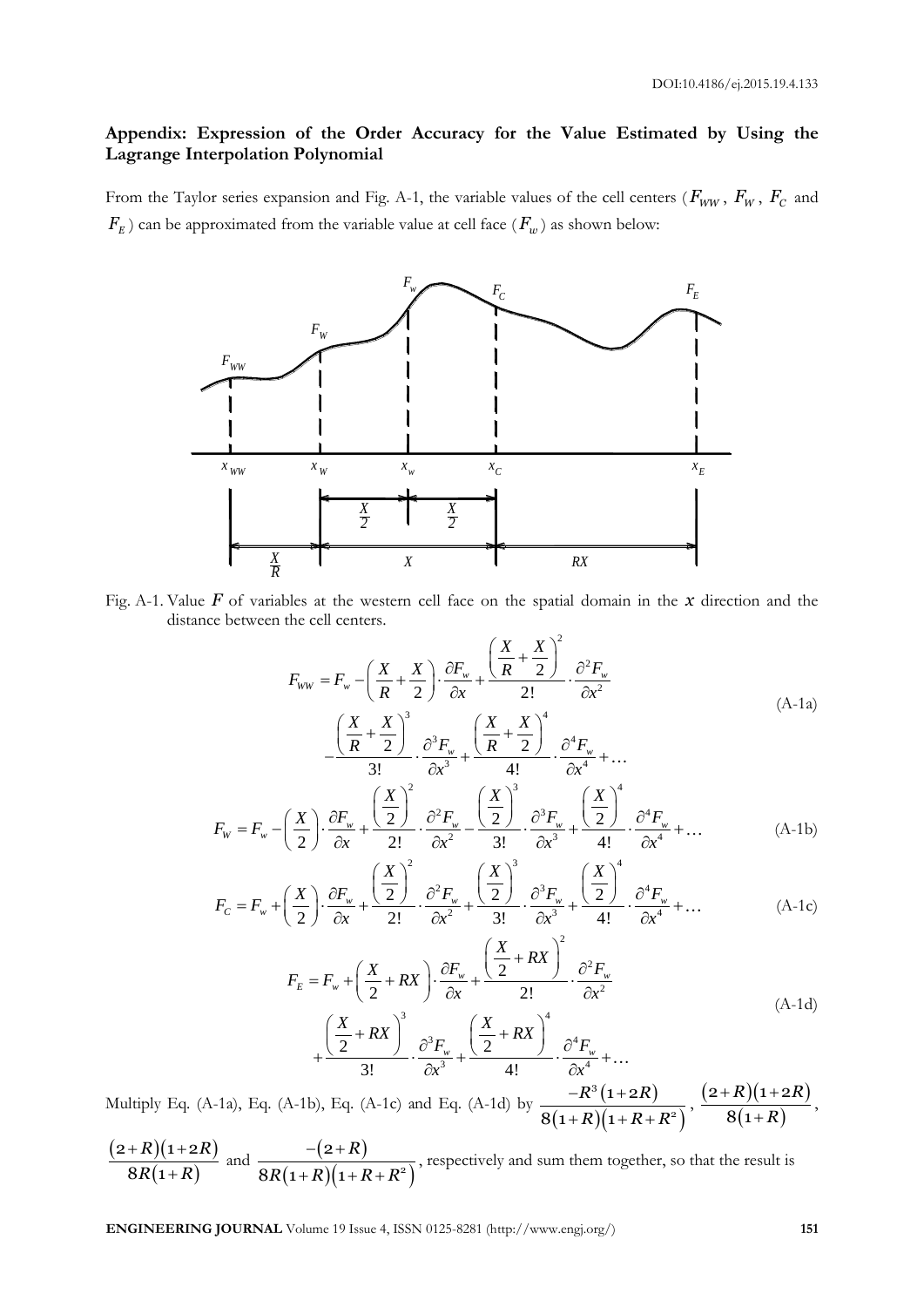## **Appendix: Expression of the Order Accuracy for the Value Estimated by Using the Lagrange Interpolation Polynomial**

From the Taylor series expansion and Fig. A-1, the variable values of the cell centers ( $F_{WW}$ ,  $F_{W}$ ,  $F_{C}$  and  $F_{\scriptscriptstyle E}$  ) can be approximated from the variable value at cell face  $(F_w)$  as shown below:



Fig. A-1. Value *F* of variables at the western cell face on the spatial domain in the *x* direction and the distance between the cell centers.

The cell centers.  
\n
$$
F_{ww} = F_w - \left(\frac{X}{R} + \frac{X}{2}\right) \cdot \frac{\partial F_w}{\partial x} + \frac{\left(\frac{X}{R} + \frac{X}{2}\right)^2}{2!} \cdot \frac{\partial^2 F_w}{\partial x^2}
$$
\n
$$
-\frac{\left(\frac{X}{R} + \frac{X}{2}\right)^3}{3!} \cdot \frac{\partial^3 F_w}{\partial x^3} + \frac{\left(\frac{X}{R} + \frac{X}{2}\right)^4}{4!} \cdot \frac{\partial^4 F_w}{\partial x^4} + \dots
$$
\n
$$
(X) \quad 2F = \left(\frac{X}{R}\right)^2 \cdot 2^2 F = \left(\frac{X}{R}\right)^3 \cdot 2^3 F = \left(\frac{X}{R}\right)^4
$$

$$
-\frac{(R-2)}{3!} \cdot \frac{\partial^2 F_w}{\partial x^3} + \frac{(R-2)}{4!} \cdot \frac{\partial^4 F_w}{\partial x^4} + \dots
$$
  

$$
F_w = F_w - \left(\frac{X}{2}\right) \cdot \frac{\partial F_w}{\partial x} + \frac{\left(\frac{X}{2}\right)^2}{2!} \cdot \frac{\partial^2 F_w}{\partial x^2} - \frac{\left(\frac{X}{2}\right)^3}{3!} \cdot \frac{\partial^3 F_w}{\partial x^3} + \frac{\left(\frac{X}{2}\right)^4}{4!} \cdot \frac{\partial^4 F_w}{\partial x^4} + \dots
$$
(A-1b)

$$
F_w = F_w - \left(\frac{X}{2}\right) \cdot \frac{\partial F_w}{\partial x} + \frac{(2)}{2!} \cdot \frac{\partial^2 F_w}{\partial x^2} - \frac{(2)}{3!} \cdot \frac{\partial^2 F_w}{\partial x^3} + \frac{(2)}{4!} \cdot \frac{\partial^2 F_w}{\partial x^4} + \dots
$$
\n(A-1b)\n
$$
F_c = F_w + \left(\frac{X}{2}\right) \cdot \frac{\partial F_w}{\partial x} + \frac{\left(\frac{X}{2}\right)^2}{2!} \cdot \frac{\partial^2 F_w}{\partial x^2} + \frac{\left(\frac{X}{2}\right)^3}{3!} \cdot \frac{\partial^3 F_w}{\partial x^3} + \frac{\left(\frac{X}{2}\right)^4}{4!} \cdot \frac{\partial^4 F_w}{\partial x^4} + \dots
$$
\n(A-1c)

$$
\begin{aligned}\n\left(2 \int \partial x \right) &= 2! \quad \partial x^2 \quad 3! \quad \partial x^3 \quad 4! \quad \partial x^4 \quad \cdots \\
F_E &= F_w + \left(\frac{X}{2} + RX\right) \cdot \frac{\partial F_w}{\partial x} + \frac{\left(\frac{X}{2} + RX\right)^2}{2!} \cdot \frac{\partial^2 F_w}{\partial x^2} \\
&+ \frac{\left(\frac{X}{2} + RX\right)^3}{3!} \cdot \frac{\partial^3 F_w}{\partial x^3} + \frac{\left(\frac{X}{2} + RX\right)^4}{4!} \cdot \frac{\partial^4 F_w}{\partial x^4} + \cdots\n\end{aligned}\n\tag{A-1d}
$$

Multiply Eq. (A-1a), Eq. (A-1b), Eq. (A-1c) and Eq. (A-1d) by  $\frac{-R^3(1+2R)}{R^3(1+2R)}$  $(1+R)(1+R+R^2)$ 3 2  $1 + 2$  $8(1+R)(1$  $R^3(1+2R)$  $R(1+R+R)$  $-R^3(1+2)$  $\frac{-R^3\left(1+2R\right)}{+R\left)(1+R+R^2\right)}, \frac{\left(2+R\right)\left(1+2R\right)}{8\left(1+R\right)}$  $(1+R)$  $(2 + R)(1 + 2)$  $8(1)$  $R)(1+2R)$ *R*  $+ R)(1 + 2)$  $\frac{(1+2i)}{1+R}$ ,

 $(2+R)(1+2R)$  $(1+R)$  $(2 + R)(1 + 2)$  $8R(1)$  $R)(1+2R)$  $R(1+R)$  $+ R)(1 + 2)$  $\frac{(1+2R)}{+R}$  and  $\frac{-(2+R)}{8R(1+R)(1+R)}$  $(1+R)(1+R+R^2)$ 2  $\frac{8R(1+R)(1)}{8R(1+R)}$ *R*  $R(1+R)(1+R+R)$  $-(2+R)$  $\frac{(2+2)}{1+R+(R+R^2)}$ , respectively and sum them together, so that the result is